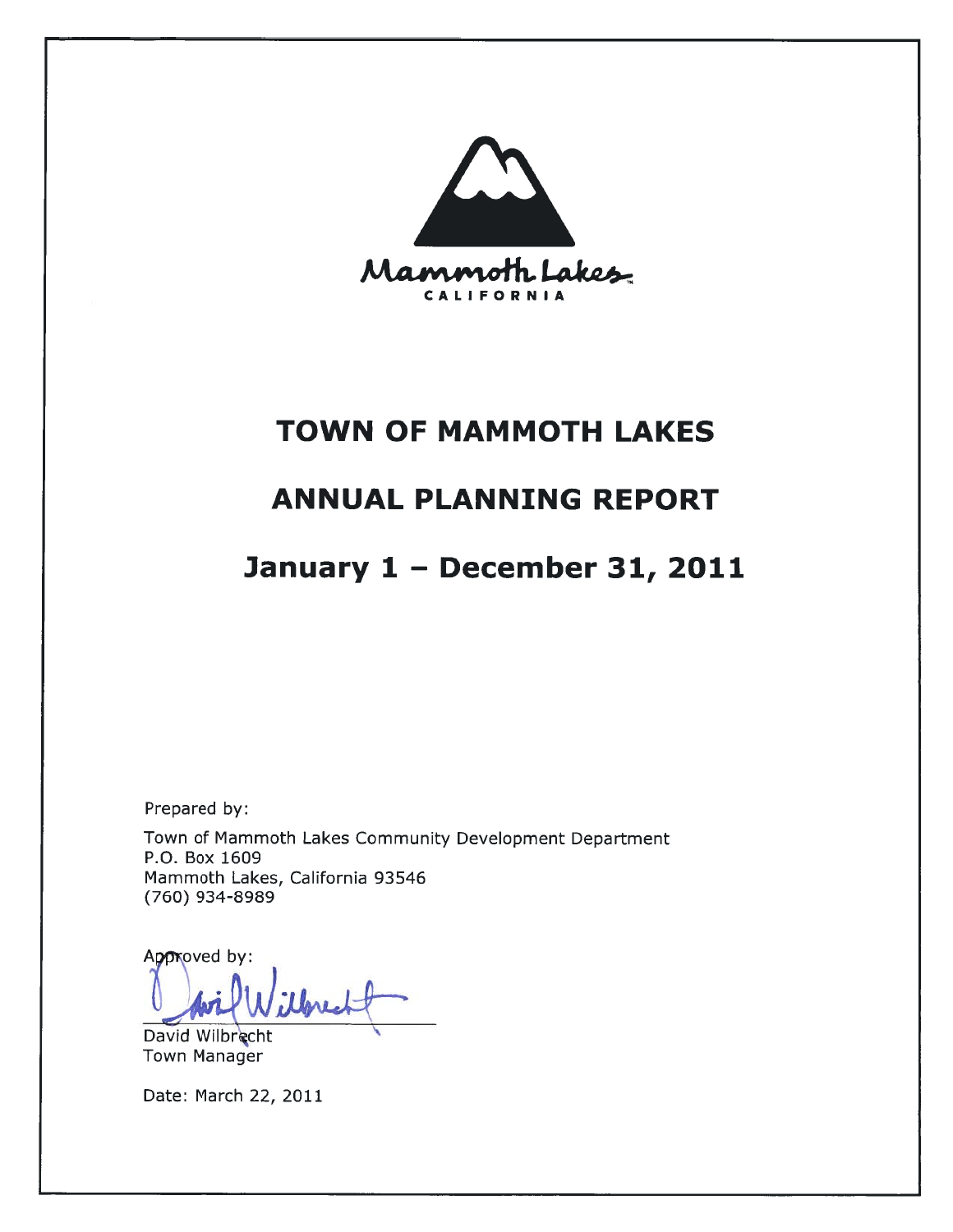

# **TOWN OF MAMMOTH LAKES**

# **ANNUAL PLANNING REPORT**

# January 1 - December 31, 2011

Prepared by:

Town of Mammoth Lakes Community Development Department P.O. Box 1609 Mammoth Lakes, California 93546 (760) 934-8989

Approved by:

David Wilbrecht **Town Manager** 

Date: March 22, 2011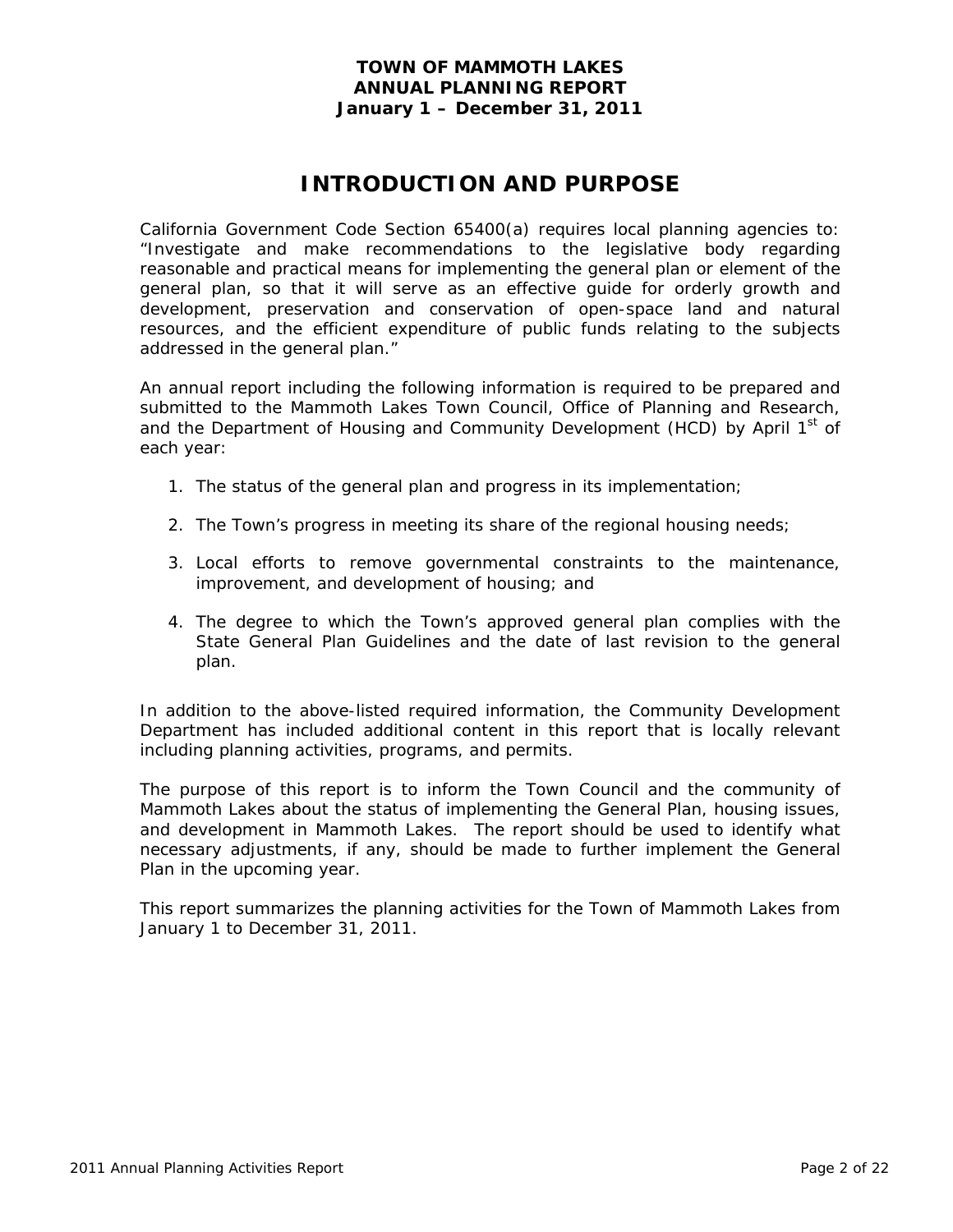# **INTRODUCTION AND PURPOSE**

California Government Code Section 65400(a) requires local planning agencies to: "Investigate and make recommendations to the legislative body regarding reasonable and practical means for implementing the general plan or element of the general plan, so that it will serve as an effective guide for orderly growth and development, preservation and conservation of open-space land and natural resources, and the efficient expenditure of public funds relating to the subjects addressed in the general plan."

An annual report including the following information is required to be prepared and submitted to the Mammoth Lakes Town Council, Office of Planning and Research, and the Department of Housing and Community Development (HCD) by April 1<sup>st</sup> of each year:

- 1. The status of the general plan and progress in its implementation;
- 2. The Town's progress in meeting its share of the regional housing needs;
- 3. Local efforts to remove governmental constraints to the maintenance, improvement, and development of housing; and
- 4. The degree to which the Town's approved general plan complies with the State General Plan Guidelines and the date of last revision to the general plan.

In addition to the above-listed required information, the Community Development Department has included additional content in this report that is locally relevant including planning activities, programs, and permits.

The purpose of this report is to inform the Town Council and the community of Mammoth Lakes about the status of implementing the General Plan, housing issues, and development in Mammoth Lakes. The report should be used to identify what necessary adjustments, if any, should be made to further implement the General Plan in the upcoming year.

This report summarizes the planning activities for the Town of Mammoth Lakes from January 1 to December 31, 2011.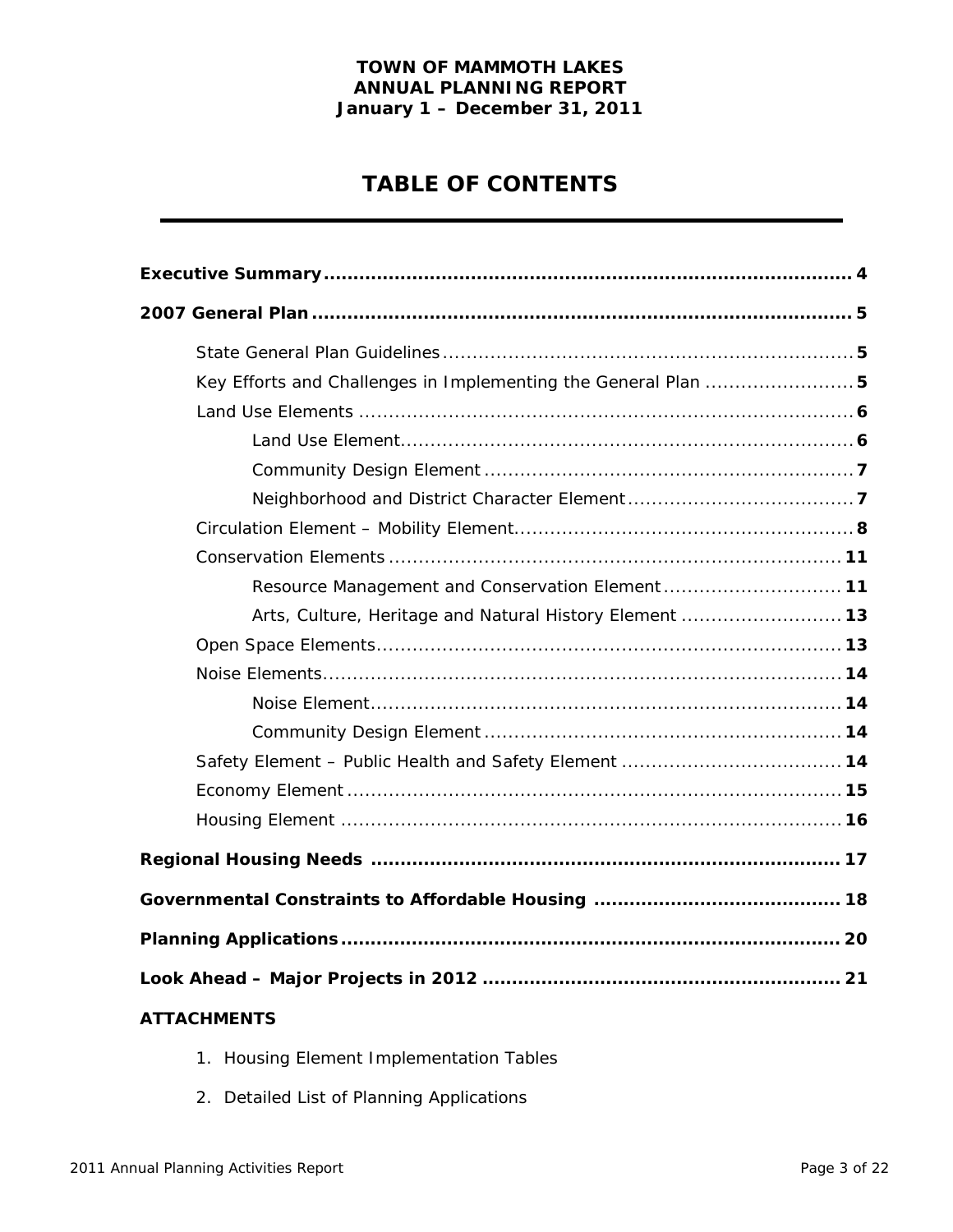# **TABLE OF CONTENTS**

| Key Efforts and Challenges in Implementing the General Plan  5 |
|----------------------------------------------------------------|
|                                                                |
|                                                                |
|                                                                |
|                                                                |
|                                                                |
|                                                                |
| Resource Management and Conservation Element 11                |
| Arts, Culture, Heritage and Natural History Element  13        |
|                                                                |
|                                                                |
|                                                                |
|                                                                |
|                                                                |
|                                                                |
|                                                                |
|                                                                |
|                                                                |
|                                                                |
|                                                                |
| <b>ATTACHMENTS</b>                                             |

- 1. Housing Element Implementation Tables
- 2. Detailed List of Planning Applications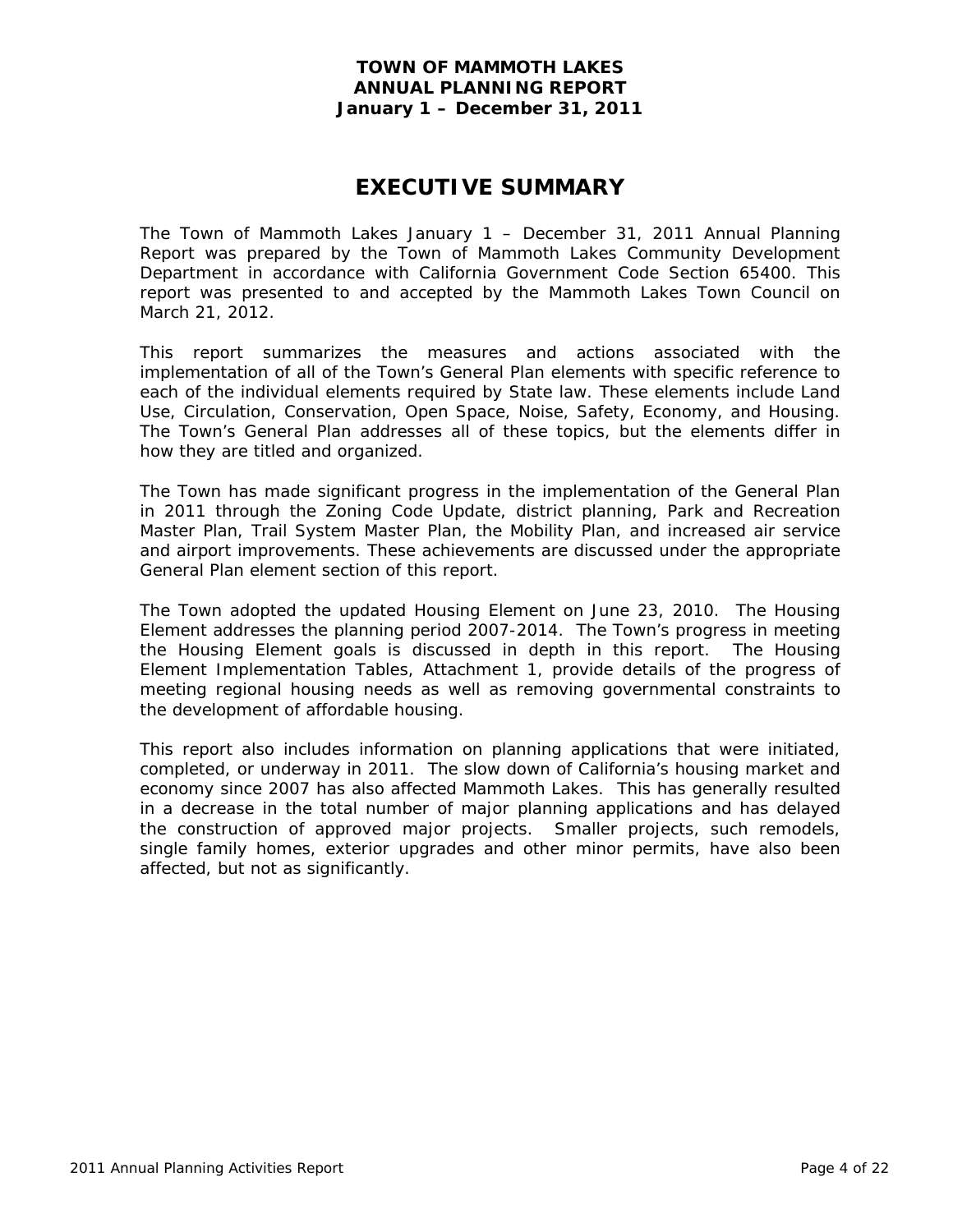# **EXECUTIVE SUMMARY**

The Town of Mammoth Lakes January 1 – December 31, 2011 Annual Planning Report was prepared by the Town of Mammoth Lakes Community Development Department in accordance with California Government Code Section 65400. This report was presented to and accepted by the Mammoth Lakes Town Council on March 21, 2012.

This report summarizes the measures and actions associated with the implementation of all of the Town's General Plan elements with specific reference to each of the individual elements required by State law. These elements include Land Use, Circulation, Conservation, Open Space, Noise, Safety, Economy, and Housing. The Town's General Plan addresses all of these topics, but the elements differ in how they are titled and organized.

The Town has made significant progress in the implementation of the General Plan in 2011 through the Zoning Code Update, district planning, Park and Recreation Master Plan, Trail System Master Plan, the Mobility Plan, and increased air service and airport improvements. These achievements are discussed under the appropriate General Plan element section of this report.

The Town adopted the updated Housing Element on June 23, 2010. The Housing Element addresses the planning period 2007-2014. The Town's progress in meeting the Housing Element goals is discussed in depth in this report. The Housing Element Implementation Tables, Attachment 1, provide details of the progress of meeting regional housing needs as well as removing governmental constraints to the development of affordable housing.

This report also includes information on planning applications that were initiated, completed, or underway in 2011. The slow down of California's housing market and economy since 2007 has also affected Mammoth Lakes. This has generally resulted in a decrease in the total number of major planning applications and has delayed the construction of approved major projects. Smaller projects, such remodels, single family homes, exterior upgrades and other minor permits, have also been affected, but not as significantly.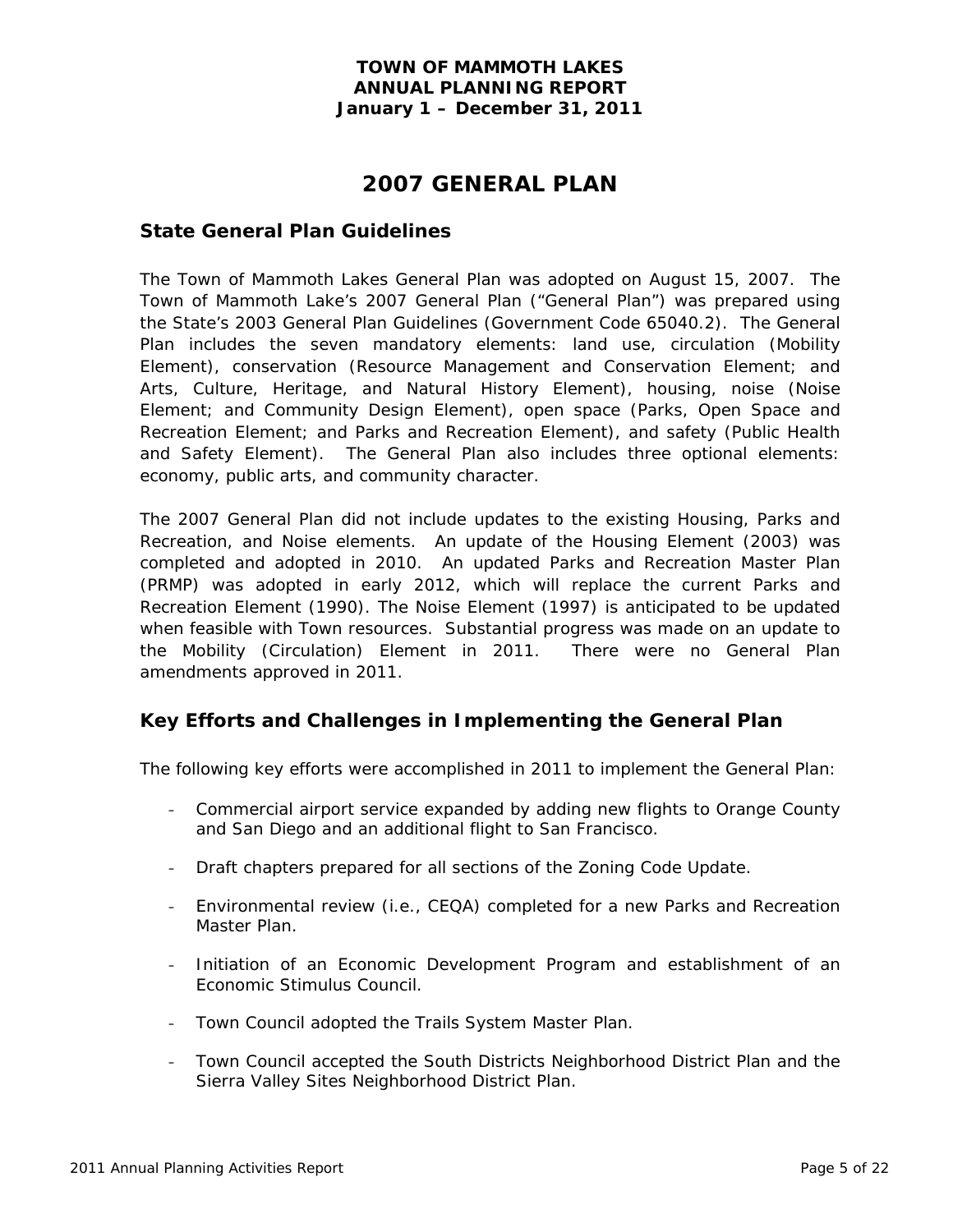# **2007 GENERAL PLAN**

### **State General Plan Guidelines**

The Town of Mammoth Lakes General Plan was adopted on August 15, 2007. The Town of Mammoth Lake's 2007 General Plan ("General Plan") was prepared using the State's 2003 General Plan Guidelines (Government Code 65040.2). The General Plan includes the seven mandatory elements: land use, circulation (Mobility Element), conservation (Resource Management and Conservation Element; and Arts, Culture, Heritage, and Natural History Element), housing, noise (Noise Element; and Community Design Element), open space (Parks, Open Space and Recreation Element; and Parks and Recreation Element), and safety (Public Health and Safety Element). The General Plan also includes three optional elements: economy, public arts, and community character.

The 2007 General Plan did not include updates to the existing Housing, Parks and Recreation, and Noise elements. An update of the Housing Element (2003) was completed and adopted in 2010. An updated Parks and Recreation Master Plan (PRMP) was adopted in early 2012, which will replace the current Parks and Recreation Element (1990). The Noise Element (1997) is anticipated to be updated when feasible with Town resources. Substantial progress was made on an update to the Mobility (Circulation) Element in 2011. There were no General Plan amendments approved in 2011.

# **Key Efforts and Challenges in Implementing the General Plan**

The following key efforts were accomplished in 2011 to implement the General Plan:

- Commercial airport service expanded by adding new flights to Orange County and San Diego and an additional flight to San Francisco.
- Draft chapters prepared for all sections of the Zoning Code Update.
- Environmental review (i.e., CEQA) completed for a new Parks and Recreation Master Plan.
- Initiation of an Economic Development Program and establishment of an Economic Stimulus Council.
- Town Council adopted the Trails System Master Plan.
- Town Council accepted the South Districts Neighborhood District Plan and the Sierra Valley Sites Neighborhood District Plan.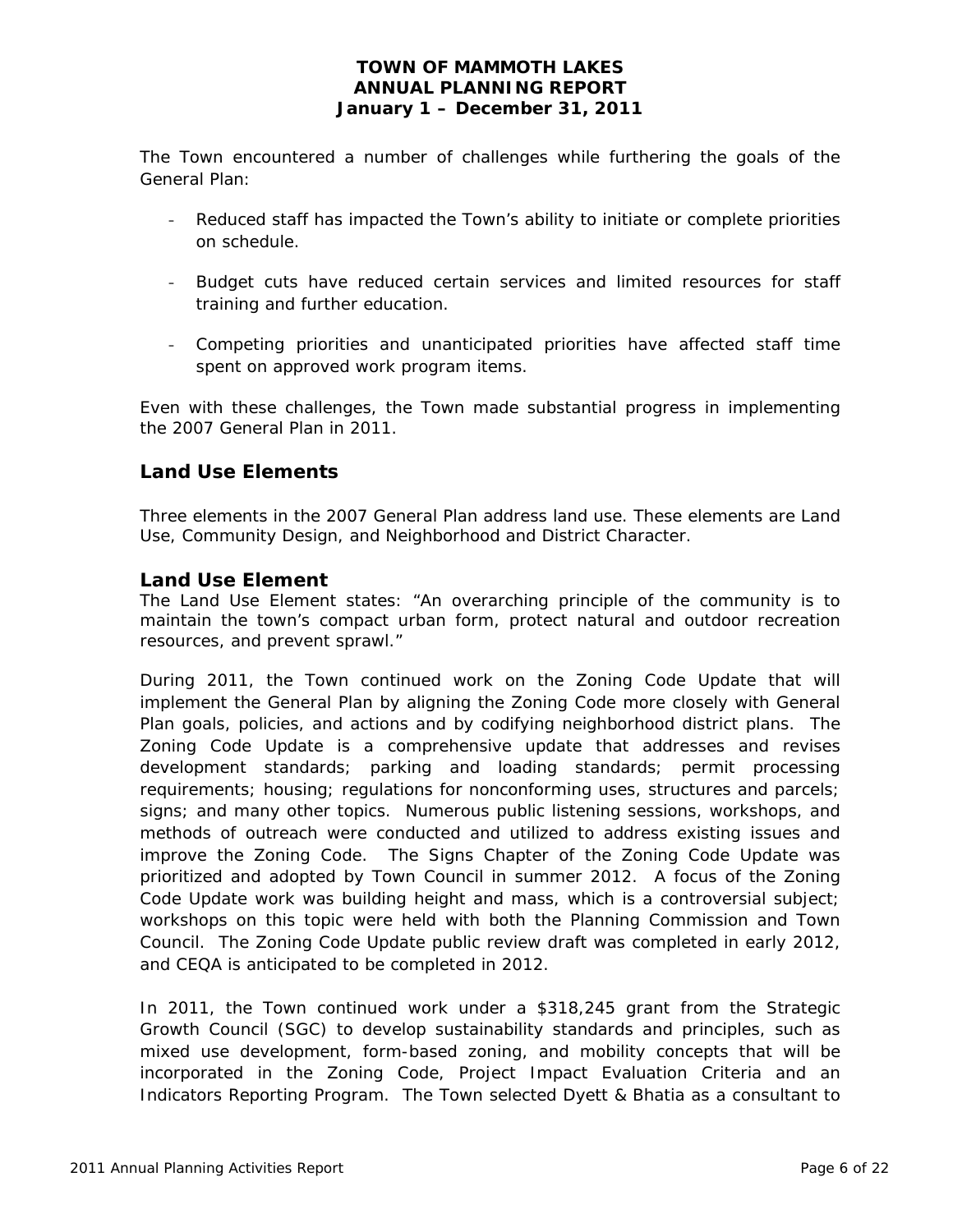The Town encountered a number of challenges while furthering the goals of the General Plan:

- Reduced staff has impacted the Town's ability to initiate or complete priorities on schedule.
- Budget cuts have reduced certain services and limited resources for staff training and further education.
- Competing priorities and unanticipated priorities have affected staff time spent on approved work program items.

Even with these challenges, the Town made substantial progress in implementing the 2007 General Plan in 2011.

# **Land Use Elements**

Three elements in the 2007 General Plan address land use. These elements are Land Use, Community Design, and Neighborhood and District Character.

## *Land Use Element*

The Land Use Element states: "An overarching principle of the community is to maintain the town's compact urban form, protect natural and outdoor recreation resources, and prevent sprawl."

During 2011, the Town continued work on the Zoning Code Update that will implement the General Plan by aligning the Zoning Code more closely with General Plan goals, policies, and actions and by codifying neighborhood district plans. The Zoning Code Update is a comprehensive update that addresses and revises development standards; parking and loading standards; permit processing requirements; housing; regulations for nonconforming uses, structures and parcels; signs; and many other topics. Numerous public listening sessions, workshops, and methods of outreach were conducted and utilized to address existing issues and improve the Zoning Code. The Signs Chapter of the Zoning Code Update was prioritized and adopted by Town Council in summer 2012. A focus of the Zoning Code Update work was building height and mass, which is a controversial subject; workshops on this topic were held with both the Planning Commission and Town Council. The Zoning Code Update public review draft was completed in early 2012, and CEQA is anticipated to be completed in 2012.

In 2011, the Town continued work under a \$318,245 grant from the Strategic Growth Council (SGC) to develop sustainability standards and principles, such as mixed use development, form-based zoning, and mobility concepts that will be incorporated in the Zoning Code, Project Impact Evaluation Criteria and an Indicators Reporting Program. The Town selected Dyett & Bhatia as a consultant to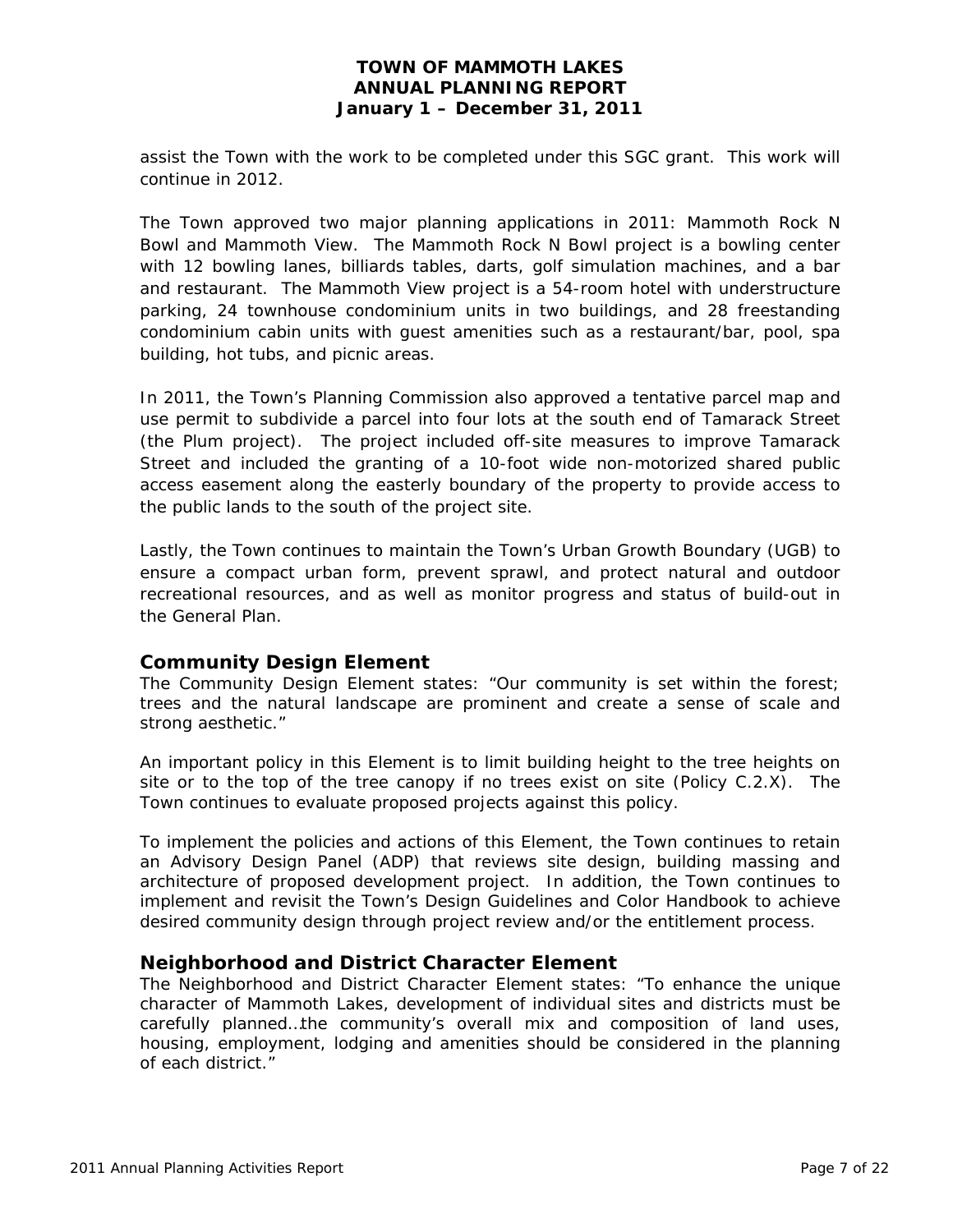assist the Town with the work to be completed under this SGC grant. This work will continue in 2012.

The Town approved two major planning applications in 2011: Mammoth Rock N Bowl and Mammoth View. The Mammoth Rock N Bowl project is a bowling center with 12 bowling lanes, billiards tables, darts, golf simulation machines, and a bar and restaurant. The Mammoth View project is a 54-room hotel with understructure parking, 24 townhouse condominium units in two buildings, and 28 freestanding condominium cabin units with guest amenities such as a restaurant/bar, pool, spa building, hot tubs, and picnic areas.

In 2011, the Town's Planning Commission also approved a tentative parcel map and use permit to subdivide a parcel into four lots at the south end of Tamarack Street (the Plum project). The project included off-site measures to improve Tamarack Street and included the granting of a 10-foot wide non-motorized shared public access easement along the easterly boundary of the property to provide access to the public lands to the south of the project site.

Lastly, the Town continues to maintain the Town's Urban Growth Boundary (UGB) to ensure a compact urban form, prevent sprawl, and protect natural and outdoor recreational resources, and as well as monitor progress and status of build-out in the General Plan.

# *Community Design Element*

The Community Design Element states: "Our community is set within the forest; trees and the natural landscape are prominent and create a sense of scale and strong aesthetic."

An important policy in this Element is to limit building height to the tree heights on site or to the top of the tree canopy if no trees exist on site (Policy C.2.X). The Town continues to evaluate proposed projects against this policy.

To implement the policies and actions of this Element, the Town continues to retain an Advisory Design Panel (ADP) that reviews site design, building massing and architecture of proposed development project. In addition, the Town continues to implement and revisit the Town's Design Guidelines and Color Handbook to achieve desired community design through project review and/or the entitlement process.

#### *Neighborhood and District Character Element*

The Neighborhood and District Character Element states: "To enhance the unique character of Mammoth Lakes, development of individual sites and districts must be carefully planned…the community's overall mix and composition of land uses, housing, employment, lodging and amenities should be considered in the planning of each district."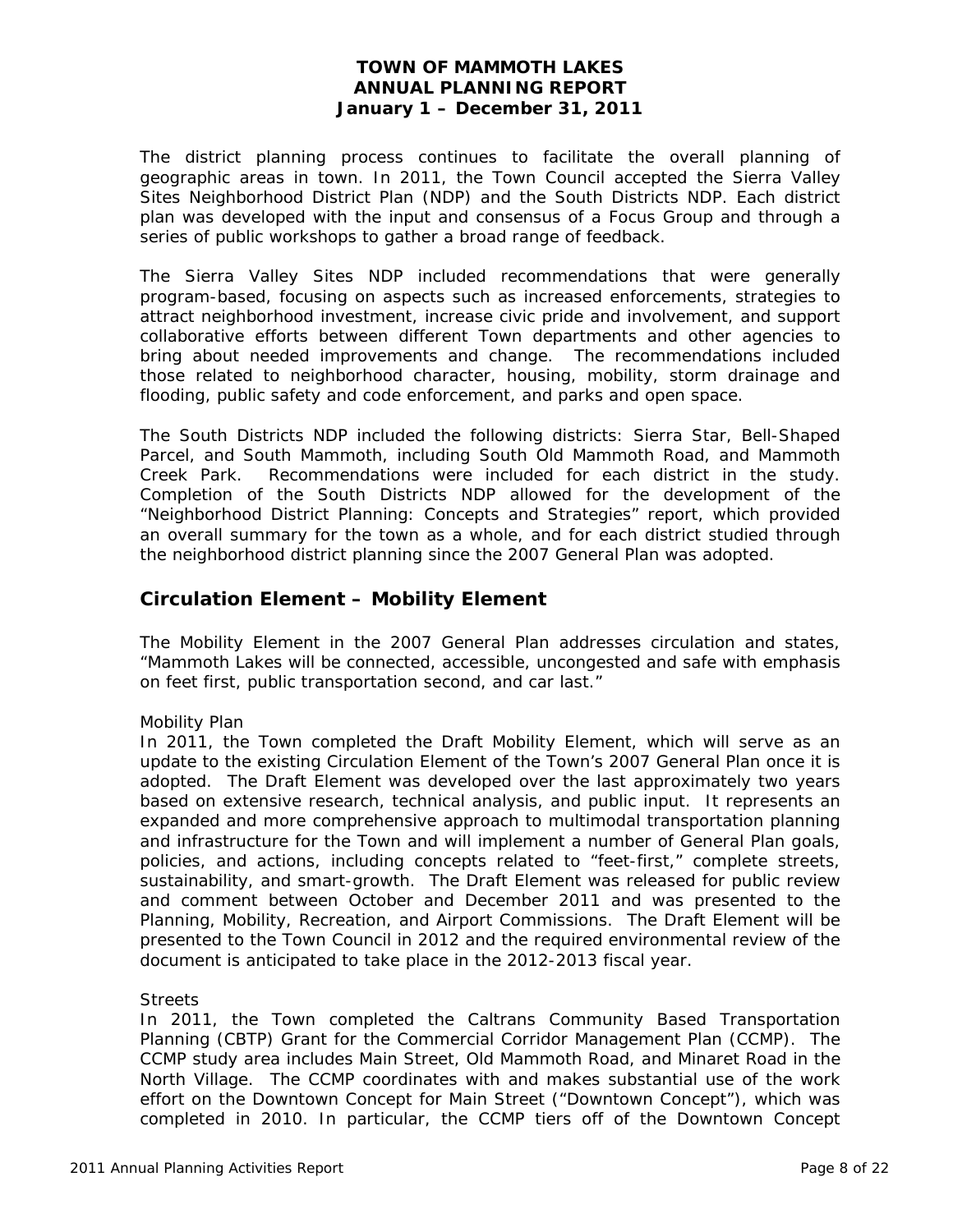The district planning process continues to facilitate the overall planning of geographic areas in town. In 2011, the Town Council accepted the Sierra Valley Sites Neighborhood District Plan (NDP) and the South Districts NDP. Each district plan was developed with the input and consensus of a Focus Group and through a series of public workshops to gather a broad range of feedback.

The Sierra Valley Sites NDP included recommendations that were generally program-based, focusing on aspects such as increased enforcements, strategies to attract neighborhood investment, increase civic pride and involvement, and support collaborative efforts between different Town departments and other agencies to bring about needed improvements and change. The recommendations included those related to neighborhood character, housing, mobility, storm drainage and flooding, public safety and code enforcement, and parks and open space.

The South Districts NDP included the following districts: Sierra Star, Bell-Shaped Parcel, and South Mammoth, including South Old Mammoth Road, and Mammoth Creek Park. Recommendations were included for each district in the study. Completion of the South Districts NDP allowed for the development of the "Neighborhood District Planning: Concepts and Strategies" report, which provided an overall summary for the town as a whole, and for each district studied through the neighborhood district planning since the 2007 General Plan was adopted.

# **Circulation Element – Mobility Element**

The Mobility Element in the 2007 General Plan addresses circulation and states, "Mammoth Lakes will be connected, accessible, uncongested and safe with emphasis on feet first, public transportation second, and car last."

#### *Mobility Plan*

In 2011, the Town completed the Draft Mobility Element, which will serve as an update to the existing Circulation Element of the Town's 2007 General Plan once it is adopted. The Draft Element was developed over the last approximately two years based on extensive research, technical analysis, and public input. It represents an expanded and more comprehensive approach to multimodal transportation planning and infrastructure for the Town and will implement a number of General Plan goals, policies, and actions, including concepts related to "feet-first," complete streets, sustainability, and smart-growth. The Draft Element was released for public review and comment between October and December 2011 and was presented to the Planning, Mobility, Recreation, and Airport Commissions. The Draft Element will be presented to the Town Council in 2012 and the required environmental review of the document is anticipated to take place in the 2012-2013 fiscal year.

#### *Streets*

In 2011, the Town completed the Caltrans Community Based Transportation Planning (CBTP) Grant for the Commercial Corridor Management Plan (CCMP). The CCMP study area includes Main Street, Old Mammoth Road, and Minaret Road in the North Village. The CCMP coordinates with and makes substantial use of the work effort on the Downtown Concept for Main Street ("Downtown Concept"), which was completed in 2010. In particular, the CCMP tiers off of the Downtown Concept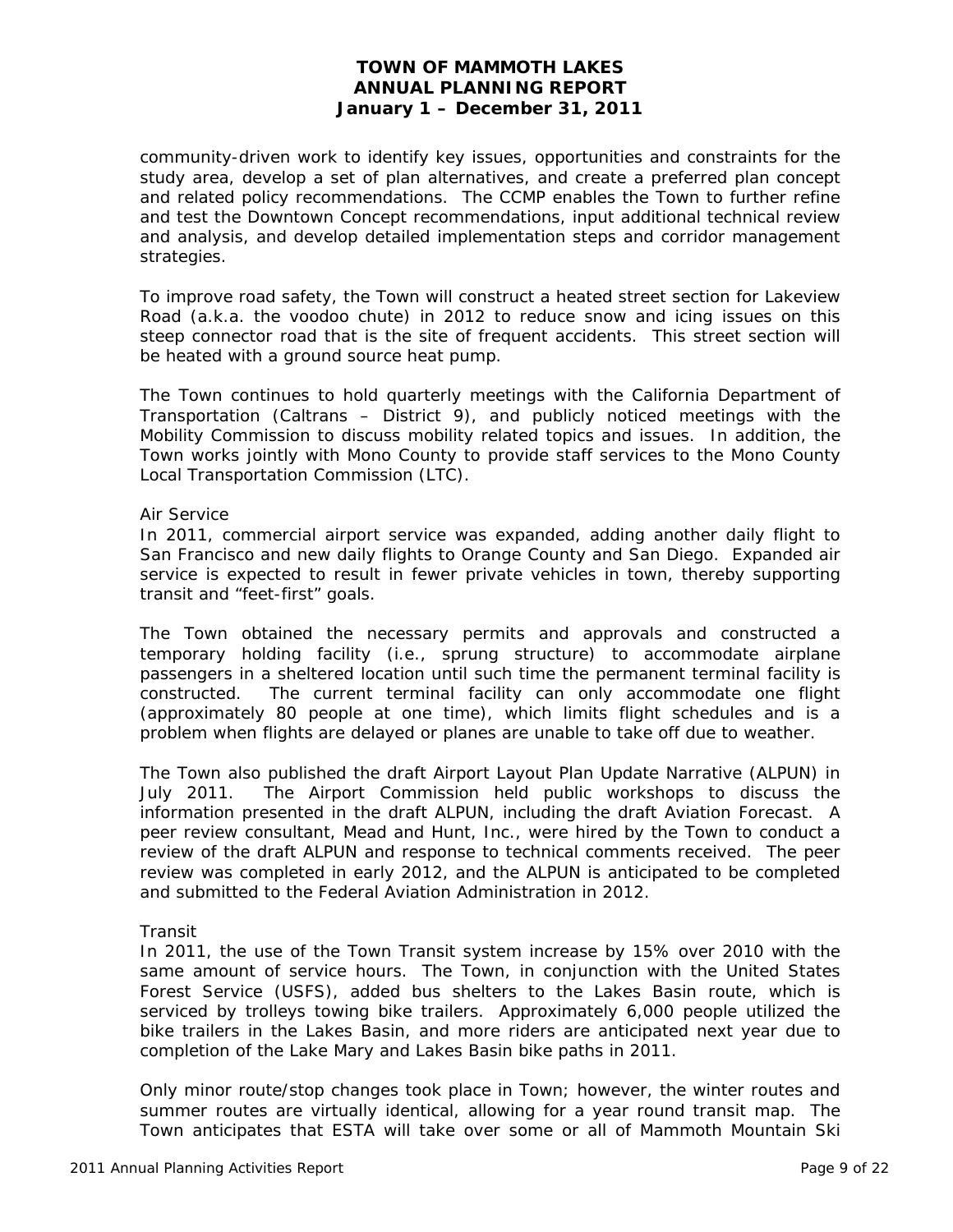community-driven work to identify key issues, opportunities and constraints for the study area, develop a set of plan alternatives, and create a preferred plan concept and related policy recommendations. The CCMP enables the Town to further refine and test the Downtown Concept recommendations, input additional technical review and analysis, and develop detailed implementation steps and corridor management strategies.

To improve road safety, the Town will construct a heated street section for Lakeview Road (a.k.a. the voodoo chute) in 2012 to reduce snow and icing issues on this steep connector road that is the site of frequent accidents. This street section will be heated with a ground source heat pump.

The Town continues to hold quarterly meetings with the California Department of Transportation (Caltrans – District 9), and publicly noticed meetings with the Mobility Commission to discuss mobility related topics and issues. In addition, the Town works jointly with Mono County to provide staff services to the Mono County Local Transportation Commission (LTC).

#### *Air Service*

In 2011, commercial airport service was expanded, adding another daily flight to San Francisco and new daily flights to Orange County and San Diego. Expanded air service is expected to result in fewer private vehicles in town, thereby supporting transit and "feet-first" goals.

The Town obtained the necessary permits and approvals and constructed a temporary holding facility (i.e., sprung structure) to accommodate airplane passengers in a sheltered location until such time the permanent terminal facility is constructed. The current terminal facility can only accommodate one flight (approximately 80 people at one time), which limits flight schedules and is a problem when flights are delayed or planes are unable to take off due to weather.

The Town also published the draft Airport Layout Plan Update Narrative (ALPUN) in July 2011. The Airport Commission held public workshops to discuss the information presented in the draft ALPUN, including the draft Aviation Forecast. A peer review consultant, Mead and Hunt, Inc., were hired by the Town to conduct a review of the draft ALPUN and response to technical comments received. The peer review was completed in early 2012, and the ALPUN is anticipated to be completed and submitted to the Federal Aviation Administration in 2012.

#### *Transit*

In 2011, the use of the Town Transit system increase by 15% over 2010 with the same amount of service hours. The Town, in conjunction with the United States Forest Service (USFS), added bus shelters to the Lakes Basin route, which is serviced by trolleys towing bike trailers. Approximately 6,000 people utilized the bike trailers in the Lakes Basin, and more riders are anticipated next year due to completion of the Lake Mary and Lakes Basin bike paths in 2011.

Only minor route/stop changes took place in Town; however, the winter routes and summer routes are virtually identical, allowing for a year round transit map. The Town anticipates that ESTA will take over some or all of Mammoth Mountain Ski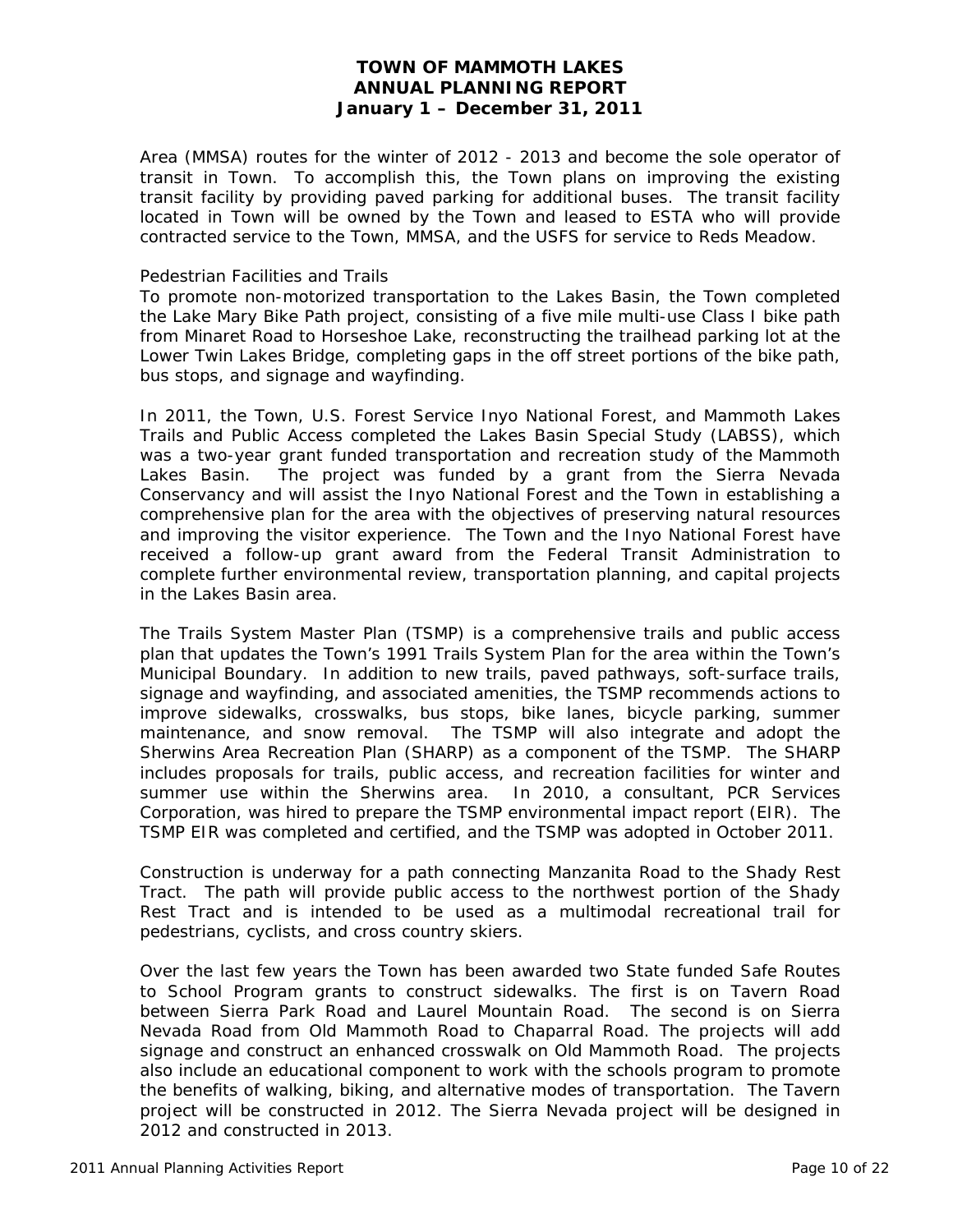Area (MMSA) routes for the winter of 2012 - 2013 and become the sole operator of transit in Town. To accomplish this, the Town plans on improving the existing transit facility by providing paved parking for additional buses. The transit facility located in Town will be owned by the Town and leased to ESTA who will provide contracted service to the Town, MMSA, and the USFS for service to Reds Meadow.

#### *Pedestrian Facilities and Trails*

To promote non-motorized transportation to the Lakes Basin, the Town completed the Lake Mary Bike Path project, consisting of a five mile multi-use Class I bike path from Minaret Road to Horseshoe Lake, reconstructing the trailhead parking lot at the Lower Twin Lakes Bridge, completing gaps in the off street portions of the bike path, bus stops, and signage and wayfinding.

In 2011, the Town, U.S. Forest Service Inyo National Forest, and Mammoth Lakes Trails and Public Access completed the Lakes Basin Special Study (LABSS), which was a two-year grant funded transportation and recreation study of the Mammoth Lakes Basin. The project was funded by a grant from the Sierra Nevada Conservancy and will assist the Inyo National Forest and the Town in establishing a comprehensive plan for the area with the objectives of preserving natural resources and improving the visitor experience. The Town and the Inyo National Forest have received a follow-up grant award from the Federal Transit Administration to complete further environmental review, transportation planning, and capital projects in the Lakes Basin area.

The Trails System Master Plan (TSMP) is a comprehensive trails and public access plan that updates the Town's 1991 Trails System Plan for the area within the Town's Municipal Boundary. In addition to new trails, paved pathways, soft-surface trails, signage and wayfinding, and associated amenities, the TSMP recommends actions to improve sidewalks, crosswalks, bus stops, bike lanes, bicycle parking, summer maintenance, and snow removal. The TSMP will also integrate and adopt the Sherwins Area Recreation Plan (SHARP) as a component of the TSMP. The SHARP includes proposals for trails, public access, and recreation facilities for winter and summer use within the Sherwins area. In 2010, a consultant, PCR Services Corporation, was hired to prepare the TSMP environmental impact report (EIR). The TSMP EIR was completed and certified, and the TSMP was adopted in October 2011.

Construction is underway for a path connecting Manzanita Road to the Shady Rest Tract. The path will provide public access to the northwest portion of the Shady Rest Tract and is intended to be used as a multimodal recreational trail for pedestrians, cyclists, and cross country skiers.

Over the last few years the Town has been awarded two State funded Safe Routes to School Program grants to construct sidewalks. The first is on Tavern Road between Sierra Park Road and Laurel Mountain Road. The second is on Sierra Nevada Road from Old Mammoth Road to Chaparral Road. The projects will add signage and construct an enhanced crosswalk on Old Mammoth Road. The projects also include an educational component to work with the schools program to promote the benefits of walking, biking, and alternative modes of transportation. The Tavern project will be constructed in 2012. The Sierra Nevada project will be designed in 2012 and constructed in 2013.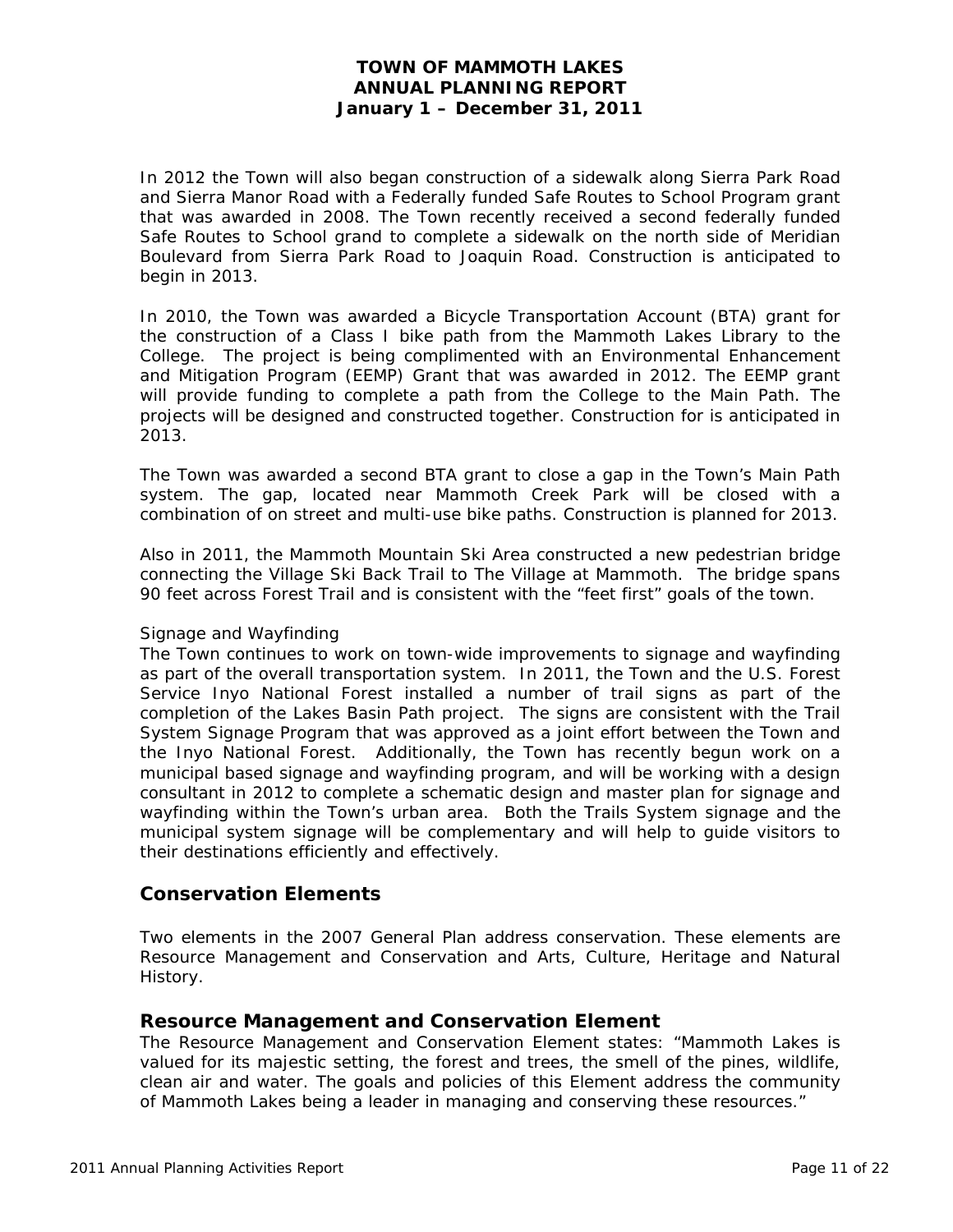In 2012 the Town will also began construction of a sidewalk along Sierra Park Road and Sierra Manor Road with a Federally funded Safe Routes to School Program grant that was awarded in 2008. The Town recently received a second federally funded Safe Routes to School grand to complete a sidewalk on the north side of Meridian Boulevard from Sierra Park Road to Joaquin Road. Construction is anticipated to begin in 2013.

In 2010, the Town was awarded a Bicycle Transportation Account (BTA) grant for the construction of a Class I bike path from the Mammoth Lakes Library to the College. The project is being complimented with an Environmental Enhancement and Mitigation Program (EEMP) Grant that was awarded in 2012. The EEMP grant will provide funding to complete a path from the College to the Main Path. The projects will be designed and constructed together. Construction for is anticipated in 2013.

The Town was awarded a second BTA grant to close a gap in the Town's Main Path system. The gap, located near Mammoth Creek Park will be closed with a combination of on street and multi-use bike paths. Construction is planned for 2013.

Also in 2011, the Mammoth Mountain Ski Area constructed a new pedestrian bridge connecting the Village Ski Back Trail to The Village at Mammoth. The bridge spans 90 feet across Forest Trail and is consistent with the "feet first" goals of the town.

#### *Signage and Wayfinding*

The Town continues to work on town-wide improvements to signage and wayfinding as part of the overall transportation system. In 2011, the Town and the U.S. Forest Service Inyo National Forest installed a number of trail signs as part of the completion of the Lakes Basin Path project. The signs are consistent with the Trail System Signage Program that was approved as a joint effort between the Town and the Inyo National Forest. Additionally, the Town has recently begun work on a municipal based signage and wayfinding program, and will be working with a design consultant in 2012 to complete a schematic design and master plan for signage and wayfinding within the Town's urban area. Both the Trails System signage and the municipal system signage will be complementary and will help to guide visitors to their destinations efficiently and effectively.

# **Conservation Elements**

Two elements in the 2007 General Plan address conservation. These elements are Resource Management and Conservation and Arts, Culture, Heritage and Natural History.

# *Resource Management and Conservation Element*

The Resource Management and Conservation Element states: "Mammoth Lakes is valued for its majestic setting, the forest and trees, the smell of the pines, wildlife, clean air and water. The goals and policies of this Element address the community of Mammoth Lakes being a leader in managing and conserving these resources."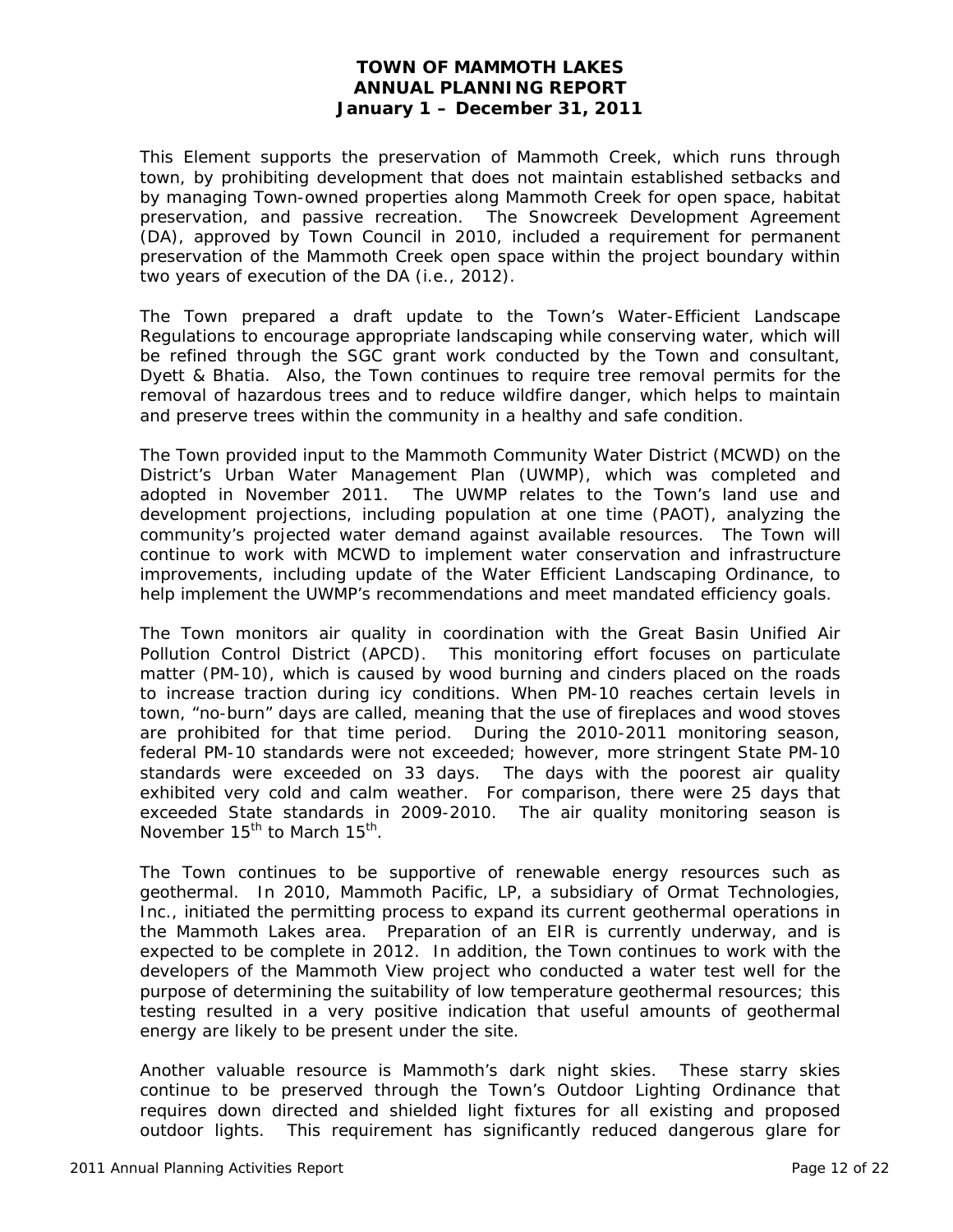This Element supports the preservation of Mammoth Creek, which runs through town, by prohibiting development that does not maintain established setbacks and by managing Town-owned properties along Mammoth Creek for open space, habitat preservation, and passive recreation. The Snowcreek Development Agreement (DA), approved by Town Council in 2010, included a requirement for permanent preservation of the Mammoth Creek open space within the project boundary within two years of execution of the DA (i.e., 2012).

The Town prepared a draft update to the Town's Water-Efficient Landscape Regulations to encourage appropriate landscaping while conserving water, which will be refined through the SGC grant work conducted by the Town and consultant, Dyett & Bhatia. Also, the Town continues to require tree removal permits for the removal of hazardous trees and to reduce wildfire danger, which helps to maintain and preserve trees within the community in a healthy and safe condition.

The Town provided input to the Mammoth Community Water District (MCWD) on the District's Urban Water Management Plan (UWMP), which was completed and adopted in November 2011. The UWMP relates to the Town's land use and development projections, including population at one time (PAOT), analyzing the community's projected water demand against available resources. The Town will continue to work with MCWD to implement water conservation and infrastructure improvements, including update of the Water Efficient Landscaping Ordinance, to help implement the UWMP's recommendations and meet mandated efficiency goals.

The Town monitors air quality in coordination with the Great Basin Unified Air Pollution Control District (APCD). This monitoring effort focuses on particulate matter (PM-10), which is caused by wood burning and cinders placed on the roads to increase traction during icy conditions. When PM-10 reaches certain levels in town, "no-burn" days are called, meaning that the use of fireplaces and wood stoves are prohibited for that time period. During the 2010-2011 monitoring season, federal PM-10 standards were not exceeded; however, more stringent State PM-10 standards were exceeded on 33 days. The days with the poorest air quality exhibited very cold and calm weather. For comparison, there were 25 days that exceeded State standards in 2009-2010. The air quality monitoring season is November  $15^{th}$  to March  $15^{th}$ .

The Town continues to be supportive of renewable energy resources such as geothermal. In 2010, Mammoth Pacific, LP, a subsidiary of Ormat Technologies, Inc., initiated the permitting process to expand its current geothermal operations in the Mammoth Lakes area. Preparation of an EIR is currently underway, and is expected to be complete in 2012. In addition, the Town continues to work with the developers of the Mammoth View project who conducted a water test well for the purpose of determining the suitability of low temperature geothermal resources; this testing resulted in a very positive indication that useful amounts of geothermal energy are likely to be present under the site.

Another valuable resource is Mammoth's dark night skies. These starry skies continue to be preserved through the Town's Outdoor Lighting Ordinance that requires down directed and shielded light fixtures for all existing and proposed outdoor lights. This requirement has significantly reduced dangerous glare for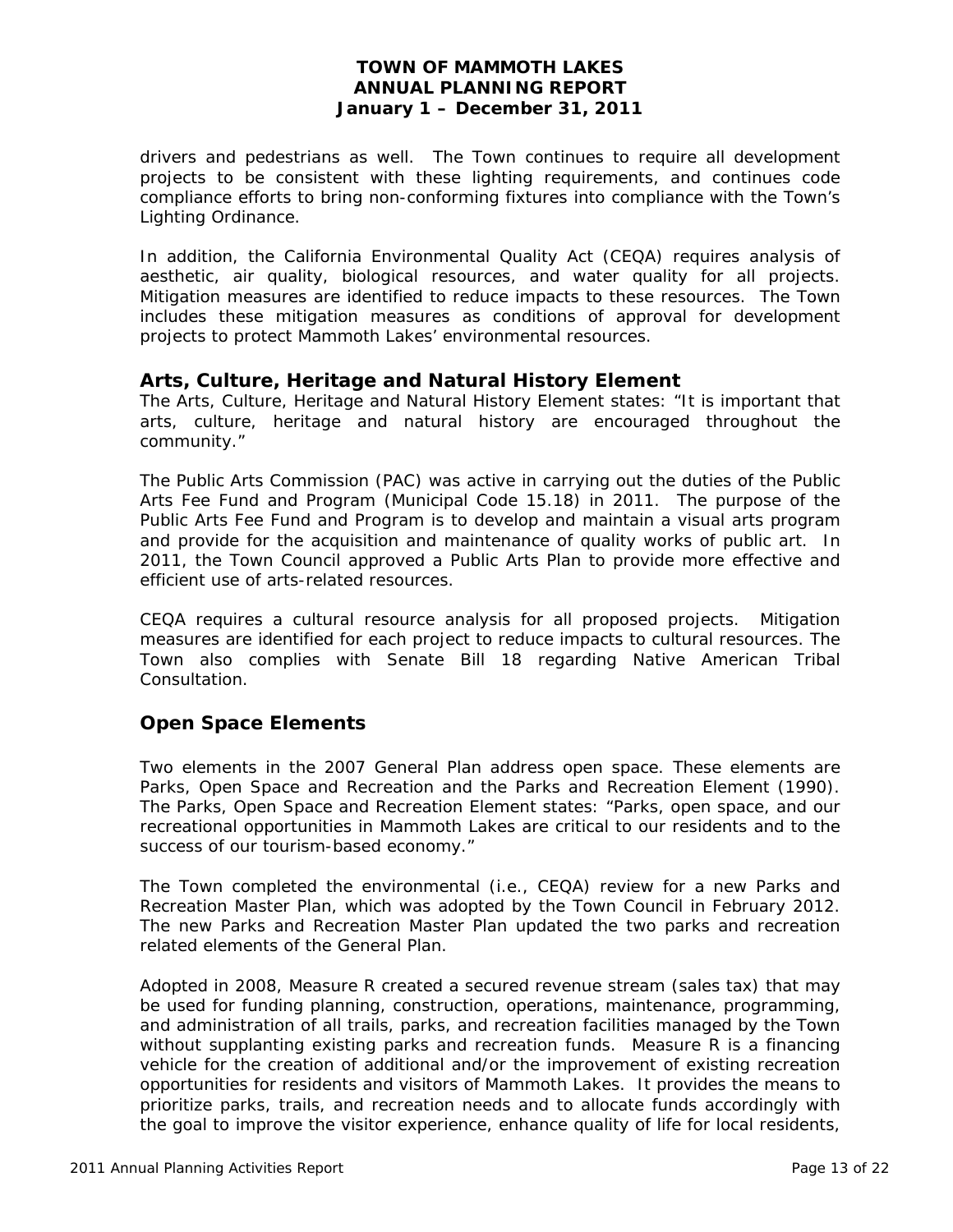drivers and pedestrians as well. The Town continues to require all development projects to be consistent with these lighting requirements, and continues code compliance efforts to bring non-conforming fixtures into compliance with the Town's Lighting Ordinance.

In addition, the California Environmental Quality Act (CEQA) requires analysis of aesthetic, air quality, biological resources, and water quality for all projects. Mitigation measures are identified to reduce impacts to these resources. The Town includes these mitigation measures as conditions of approval for development projects to protect Mammoth Lakes' environmental resources.

# *Arts, Culture, Heritage and Natural History Element*

The Arts, Culture, Heritage and Natural History Element states: "It is important that arts, culture, heritage and natural history are encouraged throughout the community."

The Public Arts Commission (PAC) was active in carrying out the duties of the Public Arts Fee Fund and Program (Municipal Code 15.18) in 2011. The purpose of the Public Arts Fee Fund and Program is to develop and maintain a visual arts program and provide for the acquisition and maintenance of quality works of public art. In 2011, the Town Council approved a Public Arts Plan to provide more effective and efficient use of arts-related resources.

CEQA requires a cultural resource analysis for all proposed projects. Mitigation measures are identified for each project to reduce impacts to cultural resources. The Town also complies with Senate Bill 18 regarding Native American Tribal Consultation.

# **Open Space Elements**

Two elements in the 2007 General Plan address open space. These elements are Parks, Open Space and Recreation and the Parks and Recreation Element (1990). The Parks, Open Space and Recreation Element states: "Parks, open space, and our recreational opportunities in Mammoth Lakes are critical to our residents and to the success of our tourism-based economy."

The Town completed the environmental (i.e., CEQA) review for a new Parks and Recreation Master Plan, which was adopted by the Town Council in February 2012. The new Parks and Recreation Master Plan updated the two parks and recreation related elements of the General Plan.

Adopted in 2008, Measure R created a secured revenue stream (sales tax) that may be used for funding planning, construction, operations, maintenance, programming, and administration of all trails, parks, and recreation facilities managed by the Town without supplanting existing parks and recreation funds. Measure R is a financing vehicle for the creation of additional and/or the improvement of existing recreation opportunities for residents and visitors of Mammoth Lakes. It provides the means to prioritize parks, trails, and recreation needs and to allocate funds accordingly with the goal to improve the visitor experience, enhance quality of life for local residents,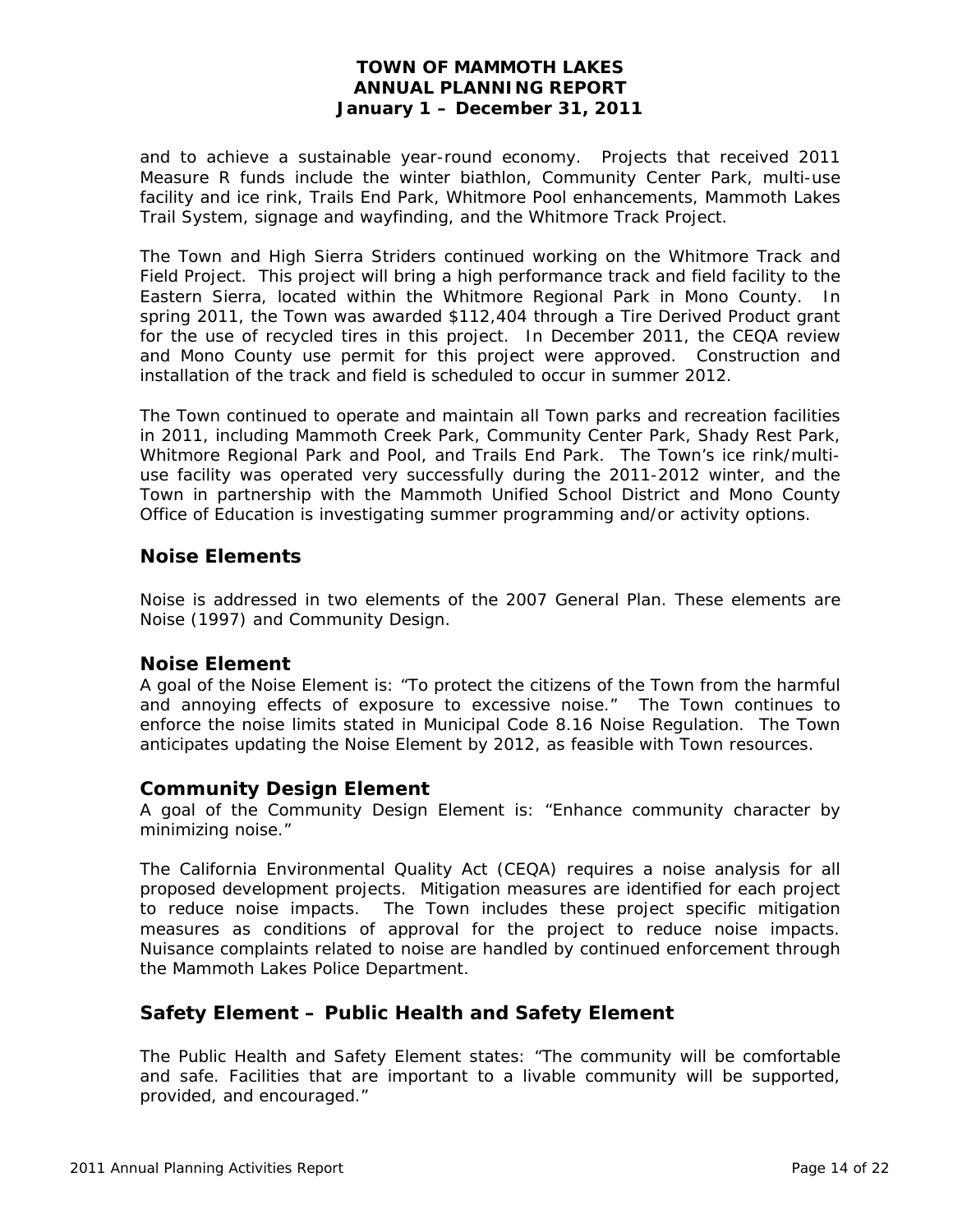and to achieve a sustainable year-round economy. Projects that received 2011 Measure R funds include the winter biathlon, Community Center Park, multi-use facility and ice rink, Trails End Park, Whitmore Pool enhancements, Mammoth Lakes Trail System, signage and wayfinding, and the Whitmore Track Project.

The Town and High Sierra Striders continued working on the Whitmore Track and Field Project. This project will bring a high performance track and field facility to the Eastern Sierra, located within the Whitmore Regional Park in Mono County. In spring 2011, the Town was awarded \$112,404 through a Tire Derived Product grant for the use of recycled tires in this project. In December 2011, the CEQA review and Mono County use permit for this project were approved. Construction and installation of the track and field is scheduled to occur in summer 2012.

The Town continued to operate and maintain all Town parks and recreation facilities in 2011, including Mammoth Creek Park, Community Center Park, Shady Rest Park, Whitmore Regional Park and Pool, and Trails End Park. The Town's ice rink/multiuse facility was operated very successfully during the 2011-2012 winter, and the Town in partnership with the Mammoth Unified School District and Mono County Office of Education is investigating summer programming and/or activity options.

## **Noise Elements**

Noise is addressed in two elements of the 2007 General Plan. These elements are Noise (1997) and Community Design.

#### *Noise Element*

A goal of the Noise Element is: "To protect the citizens of the Town from the harmful and annoying effects of exposure to excessive noise." The Town continues to enforce the noise limits stated in Municipal Code 8.16 Noise Regulation. The Town anticipates updating the Noise Element by 2012, as feasible with Town resources.

#### *Community Design Element*

A goal of the Community Design Element is: "Enhance community character by minimizing noise."

The California Environmental Quality Act (CEQA) requires a noise analysis for all proposed development projects. Mitigation measures are identified for each project to reduce noise impacts. The Town includes these project specific mitigation measures as conditions of approval for the project to reduce noise impacts. Nuisance complaints related to noise are handled by continued enforcement through the Mammoth Lakes Police Department.

# **Safety Element – Public Health and Safety Element**

The Public Health and Safety Element states: "The community will be comfortable and safe. Facilities that are important to a livable community will be supported, provided, and encouraged."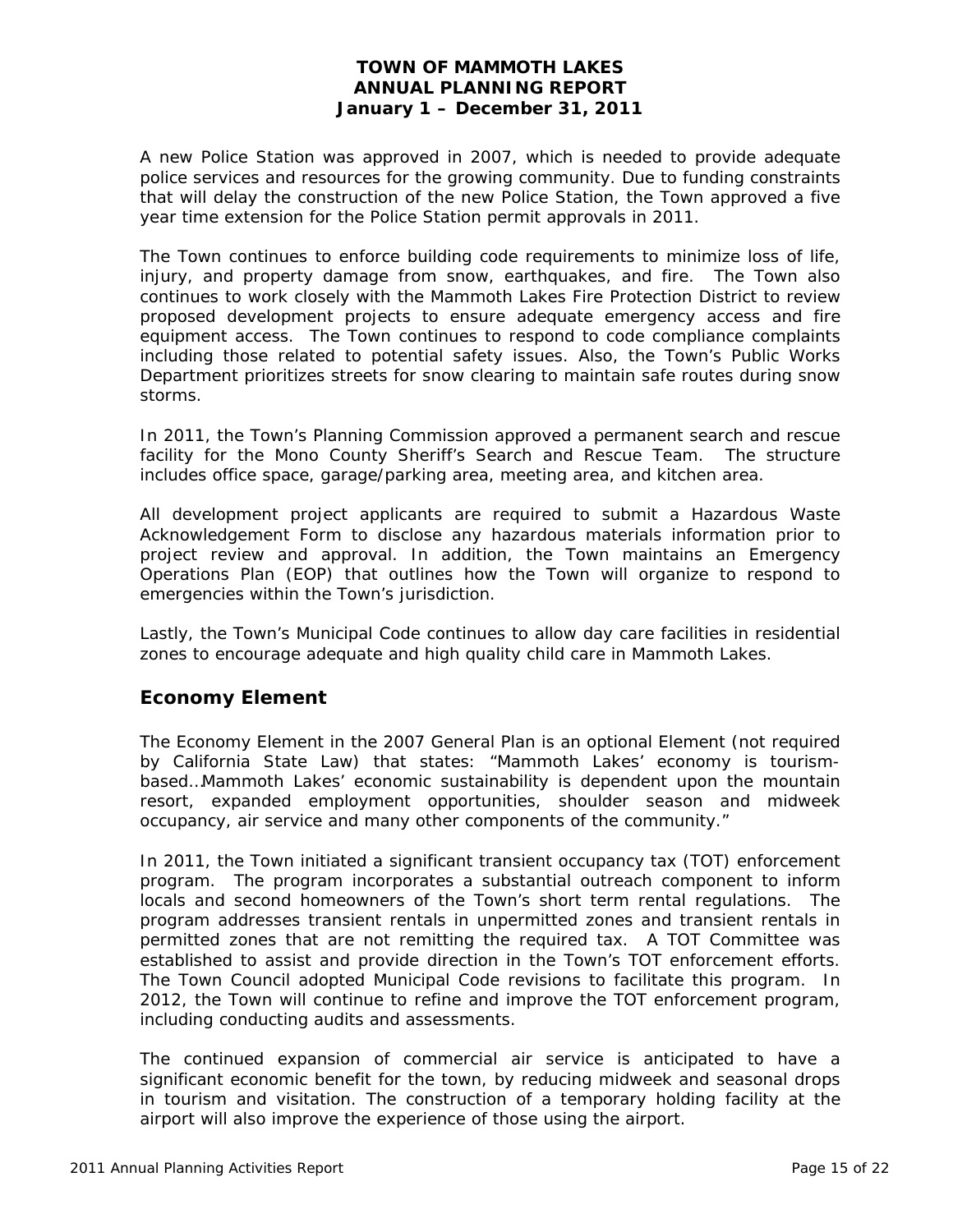A new Police Station was approved in 2007, which is needed to provide adequate police services and resources for the growing community. Due to funding constraints that will delay the construction of the new Police Station, the Town approved a five year time extension for the Police Station permit approvals in 2011.

The Town continues to enforce building code requirements to minimize loss of life, injury, and property damage from snow, earthquakes, and fire. The Town also continues to work closely with the Mammoth Lakes Fire Protection District to review proposed development projects to ensure adequate emergency access and fire equipment access. The Town continues to respond to code compliance complaints including those related to potential safety issues. Also, the Town's Public Works Department prioritizes streets for snow clearing to maintain safe routes during snow storms.

In 2011, the Town's Planning Commission approved a permanent search and rescue facility for the Mono County Sheriff's Search and Rescue Team. The structure includes office space, garage/parking area, meeting area, and kitchen area.

All development project applicants are required to submit a Hazardous Waste Acknowledgement Form to disclose any hazardous materials information prior to project review and approval. In addition, the Town maintains an Emergency Operations Plan (EOP) that outlines how the Town will organize to respond to emergencies within the Town's jurisdiction.

Lastly, the Town's Municipal Code continues to allow day care facilities in residential zones to encourage adequate and high quality child care in Mammoth Lakes.

# **Economy Element**

The Economy Element in the 2007 General Plan is an optional Element (not required by California State Law) that states: "Mammoth Lakes' economy is tourismbased…Mammoth Lakes' economic sustainability is dependent upon the mountain resort, expanded employment opportunities, shoulder season and midweek occupancy, air service and many other components of the community."

In 2011, the Town initiated a significant transient occupancy tax (TOT) enforcement program. The program incorporates a substantial outreach component to inform locals and second homeowners of the Town's short term rental regulations. The program addresses transient rentals in unpermitted zones and transient rentals in permitted zones that are not remitting the required tax. A TOT Committee was established to assist and provide direction in the Town's TOT enforcement efforts. The Town Council adopted Municipal Code revisions to facilitate this program. In 2012, the Town will continue to refine and improve the TOT enforcement program, including conducting audits and assessments.

The continued expansion of commercial air service is anticipated to have a significant economic benefit for the town, by reducing midweek and seasonal drops in tourism and visitation. The construction of a temporary holding facility at the airport will also improve the experience of those using the airport.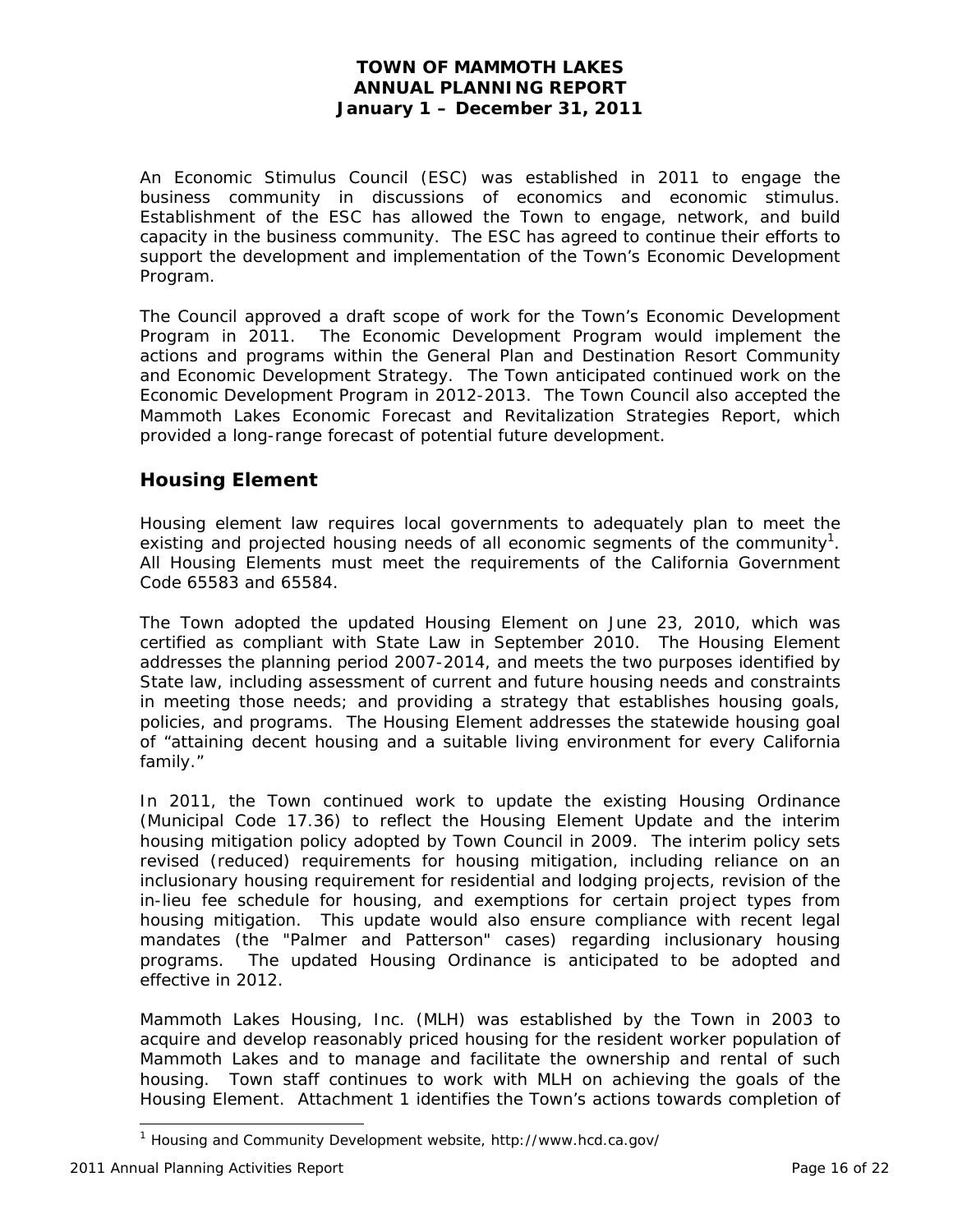An Economic Stimulus Council (ESC) was established in 2011 to engage the business community in discussions of economics and economic stimulus. Establishment of the ESC has allowed the Town to engage, network, and build capacity in the business community. The ESC has agreed to continue their efforts to support the development and implementation of the Town's Economic Development Program.

The Council approved a draft scope of work for the Town's Economic Development Program in 2011. The Economic Development Program would implement the actions and programs within the General Plan and Destination Resort Community and Economic Development Strategy. The Town anticipated continued work on the Economic Development Program in 2012-2013. The Town Council also accepted the Mammoth Lakes Economic Forecast and Revitalization Strategies Report, which provided a long-range forecast of potential future development.

# **Housing Element**

Housing element law requires local governments to adequately plan to meet the existing and projected housing needs of all economic segments of the community<sup>1</sup>. All Housing Elements must meet the requirements of the California Government Code 65583 and 65584.

The Town adopted the updated Housing Element on June 23, 2010, which was certified as compliant with State Law in September 2010. The Housing Element addresses the planning period 2007-2014, and meets the two purposes identified by State law, including assessment of current and future housing needs and constraints in meeting those needs; and providing a strategy that establishes housing goals, policies, and programs. The Housing Element addresses the statewide housing goal of "attaining decent housing and a suitable living environment for every California family."

In 2011, the Town continued work to update the existing Housing Ordinance (Municipal Code 17.36) to reflect the Housing Element Update and the interim housing mitigation policy adopted by Town Council in 2009. The interim policy sets revised (reduced) requirements for housing mitigation, including reliance on an inclusionary housing requirement for residential and lodging projects, revision of the in-lieu fee schedule for housing, and exemptions for certain project types from housing mitigation. This update would also ensure compliance with recent legal mandates (the "Palmer and Patterson" cases) regarding inclusionary housing programs. The updated Housing Ordinance is anticipated to be adopted and effective in 2012.

Mammoth Lakes Housing, Inc. (MLH) was established by the Town in 2003 to acquire and develop reasonably priced housing for the resident worker population of Mammoth Lakes and to manage and facilitate the ownership and rental of such housing. Town staff continues to work with MLH on achieving the goals of the Housing Element. Attachment 1 identifies the Town's actions towards completion of

 $\overline{a}$ 

<sup>&</sup>lt;sup>1</sup> Housing and Community Development website, http://www.hcd.ca.gov/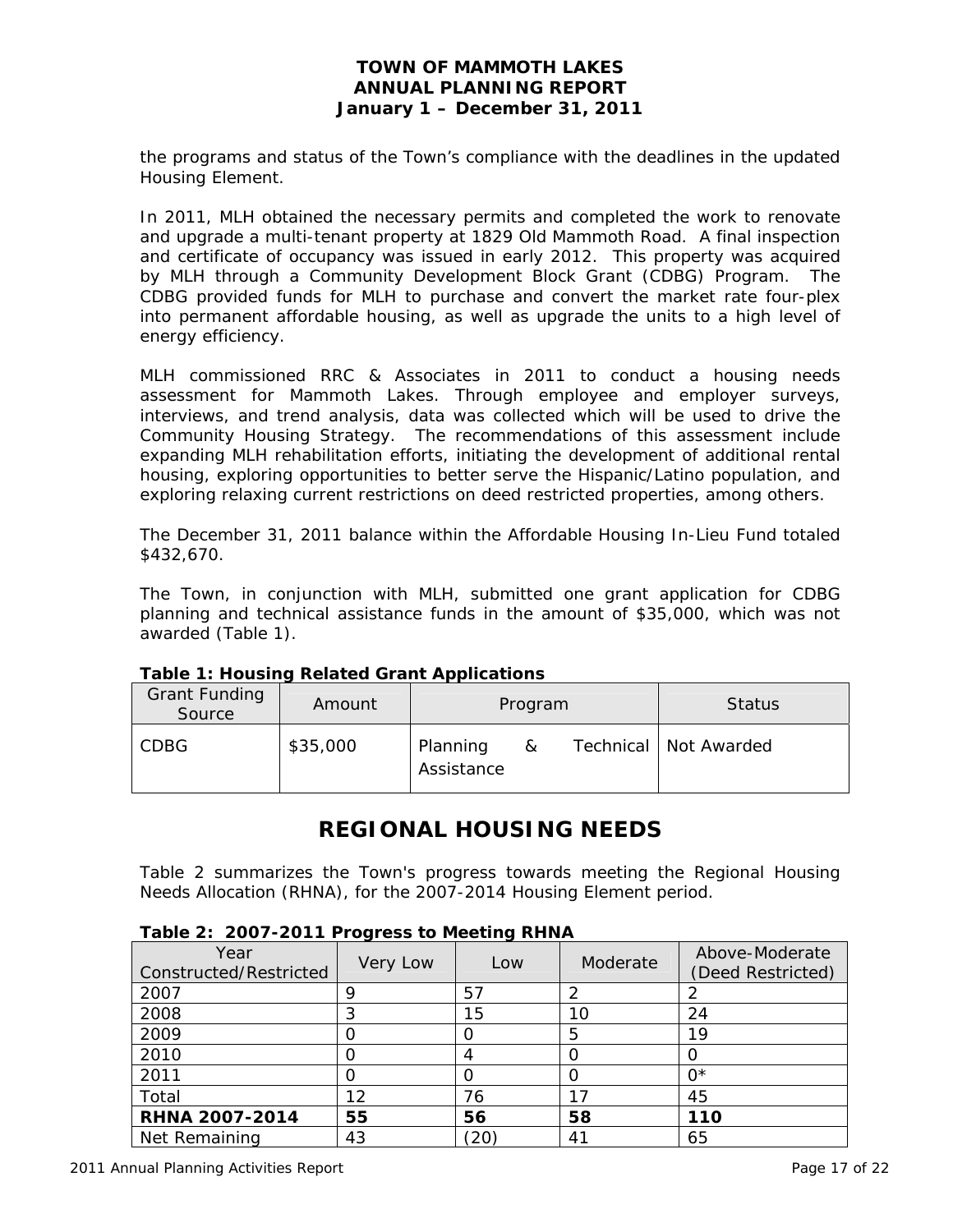the programs and status of the Town's compliance with the deadlines in the updated Housing Element.

In 2011, MLH obtained the necessary permits and completed the work to renovate and upgrade a multi-tenant property at 1829 Old Mammoth Road. A final inspection and certificate of occupancy was issued in early 2012. This property was acquired by MLH through a Community Development Block Grant (CDBG) Program. The CDBG provided funds for MLH to purchase and convert the market rate four-plex into permanent affordable housing, as well as upgrade the units to a high level of energy efficiency.

MLH commissioned RRC & Associates in 2011 to conduct a housing needs assessment for Mammoth Lakes. Through employee and employer surveys, interviews, and trend analysis, data was collected which will be used to drive the Community Housing Strategy. The recommendations of this assessment include expanding MLH rehabilitation efforts, initiating the development of additional rental housing, exploring opportunities to better serve the Hispanic/Latino population, and exploring relaxing current restrictions on deed restricted properties, among others.

The December 31, 2011 balance within the Affordable Housing In-Lieu Fund totaled \$432,670.

The Town, in conjunction with MLH, submitted one grant application for CDBG planning and technical assistance funds in the amount of \$35,000, which was not awarded (Table 1).

| <b>Grant Funding</b><br>Source | Amount   |                        | Program | <b>Status</b> |                         |
|--------------------------------|----------|------------------------|---------|---------------|-------------------------|
| <b>CDBG</b>                    | \$35,000 | Planning<br>Assistance | &       |               | Technical   Not Awarded |

**Table 1: Housing Related Grant Applications** 

# **REGIONAL HOUSING NEEDS**

Table 2 summarizes the Town's progress towards meeting the Regional Housing Needs Allocation (RHNA), for the 2007-2014 Housing Element period.

#### **Table 2: 2007-2011 Progress to Meeting RHNA**

| Year<br>Constructed/Restricted | Very Low | Low | Moderate      | Above-Moderate<br>(Deed Restricted) |
|--------------------------------|----------|-----|---------------|-------------------------------------|
| 2007                           | Q        | 57  |               |                                     |
| 2008                           | ົ        | 15  | 10            | 24                                  |
| 2009                           |          |     | 5             | 19                                  |
| 2010                           |          |     |               |                                     |
| 2011                           |          |     |               | ∩*                                  |
| Total                          | 12       | 76  |               | 45                                  |
| <b>RHNA 2007-2014</b>          | 55       | 56  | 58            | 110                                 |
| Net Remaining                  | 43       | 20  | $4^{\degree}$ | 65                                  |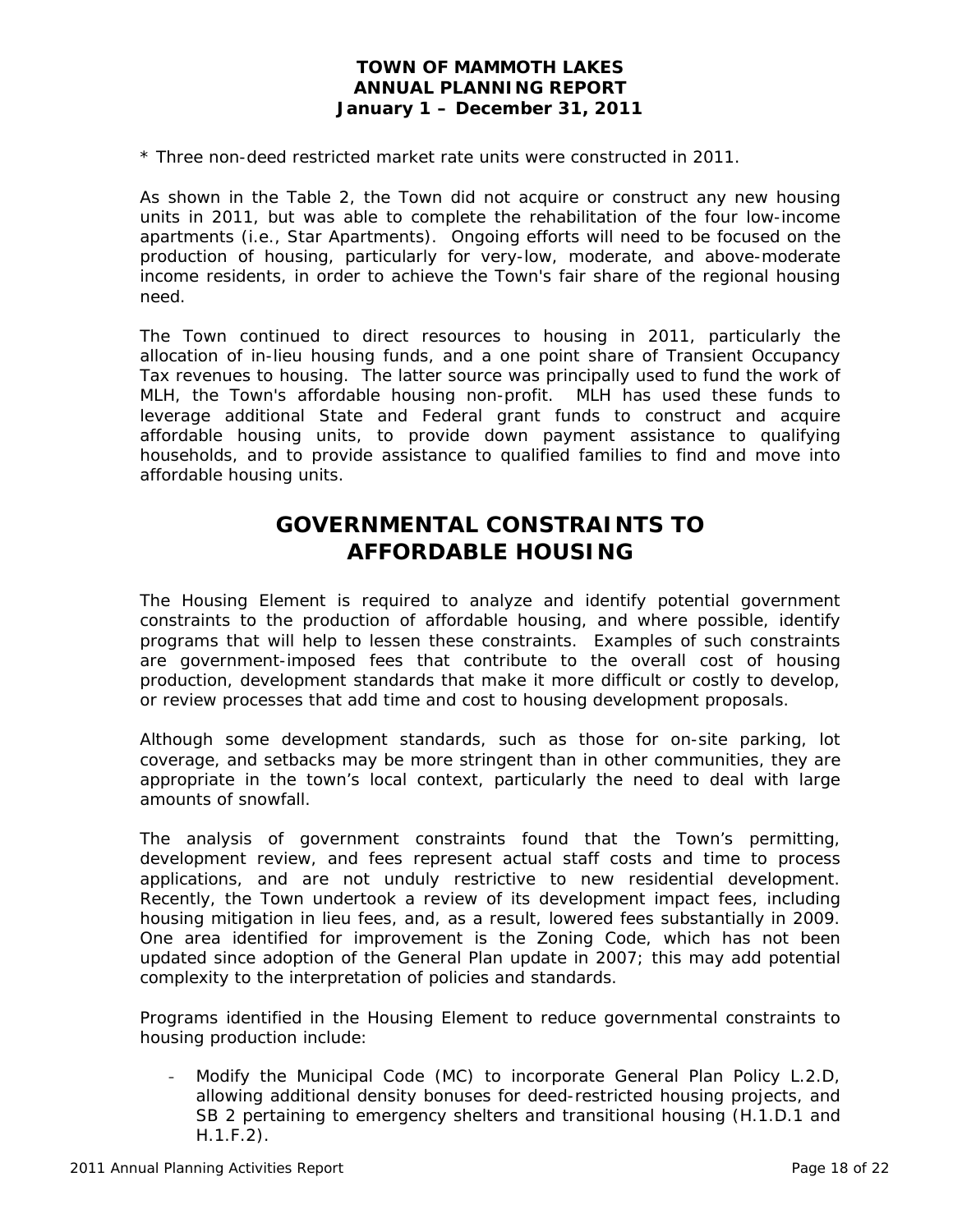\* Three non-deed restricted market rate units were constructed in 2011.

As shown in the Table 2, the Town did not acquire or construct any new housing units in 2011, but was able to complete the rehabilitation of the four low-income apartments (i.e., Star Apartments). Ongoing efforts will need to be focused on the production of housing, particularly for very-low, moderate, and above-moderate income residents, in order to achieve the Town's fair share of the regional housing need.

The Town continued to direct resources to housing in 2011, particularly the allocation of in-lieu housing funds, and a one point share of Transient Occupancy Tax revenues to housing. The latter source was principally used to fund the work of MLH, the Town's affordable housing non-profit. MLH has used these funds to leverage additional State and Federal grant funds to construct and acquire affordable housing units, to provide down payment assistance to qualifying households, and to provide assistance to qualified families to find and move into affordable housing units.

# **GOVERNMENTAL CONSTRAINTS TO AFFORDABLE HOUSING**

The Housing Element is required to analyze and identify potential government constraints to the production of affordable housing, and where possible, identify programs that will help to lessen these constraints. Examples of such constraints are government-imposed fees that contribute to the overall cost of housing production, development standards that make it more difficult or costly to develop, or review processes that add time and cost to housing development proposals.

Although some development standards, such as those for on-site parking, lot coverage, and setbacks may be more stringent than in other communities, they are appropriate in the town's local context, particularly the need to deal with large amounts of snowfall.

The analysis of government constraints found that the Town's permitting, development review, and fees represent actual staff costs and time to process applications, and are not unduly restrictive to new residential development. Recently, the Town undertook a review of its development impact fees, including housing mitigation in lieu fees, and, as a result, lowered fees substantially in 2009. One area identified for improvement is the Zoning Code, which has not been updated since adoption of the General Plan update in 2007; this may add potential complexity to the interpretation of policies and standards.

Programs identified in the Housing Element to reduce governmental constraints to housing production include:

- Modify the Municipal Code (MC) to incorporate General Plan Policy L.2.D, allowing additional density bonuses for deed-restricted housing projects, and SB 2 pertaining to emergency shelters and transitional housing (H.1.D.1 and H.1.F.2).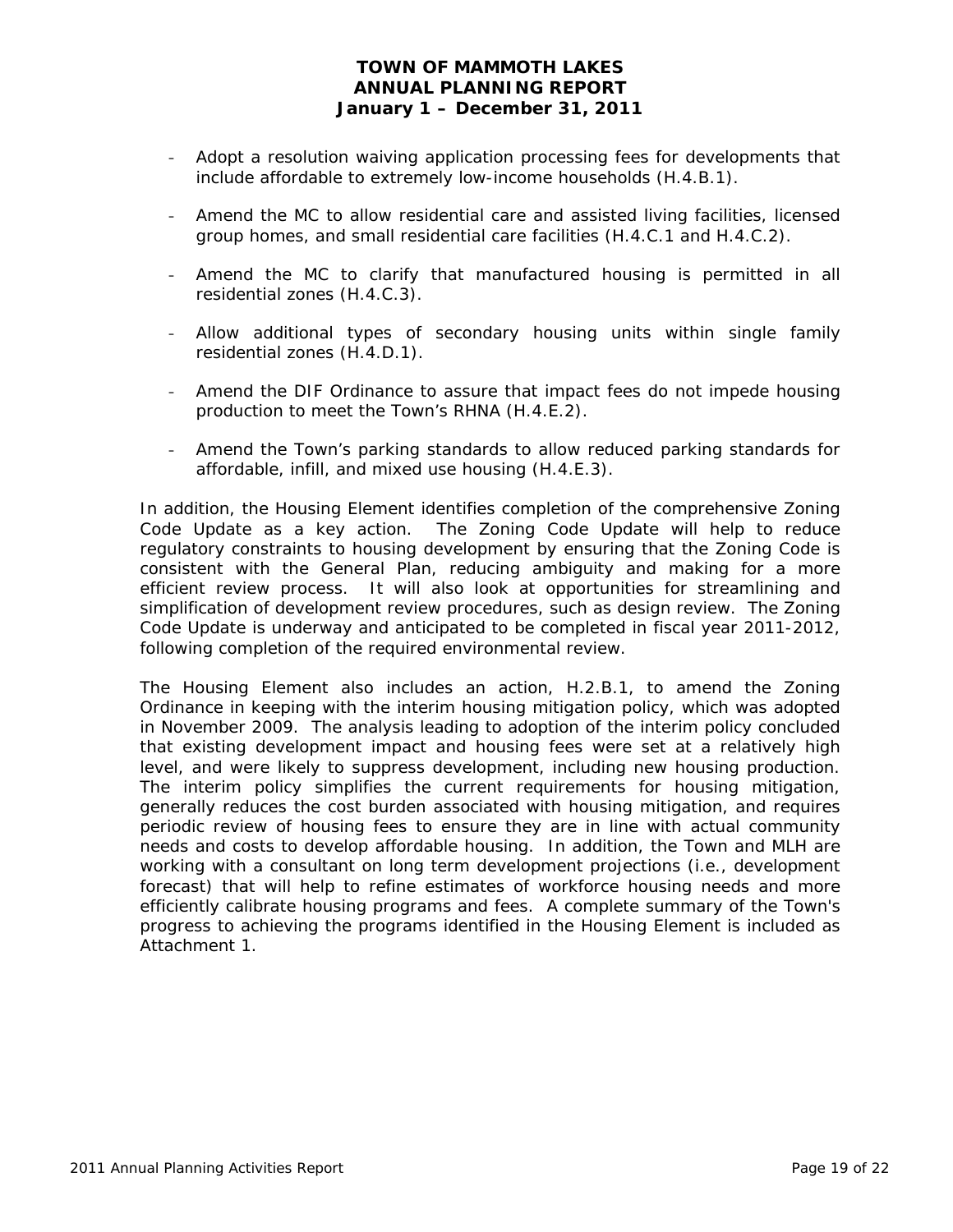- Adopt a resolution waiving application processing fees for developments that include affordable to extremely low-income households (H.4.B.1).
- Amend the MC to allow residential care and assisted living facilities, licensed group homes, and small residential care facilities (H.4.C.1 and H.4.C.2).
- Amend the MC to clarify that manufactured housing is permitted in all residential zones (H.4.C.3).
- Allow additional types of secondary housing units within single family residential zones (H.4.D.1).
- Amend the DIF Ordinance to assure that impact fees do not impede housing production to meet the Town's RHNA (H.4.E.2).
- Amend the Town's parking standards to allow reduced parking standards for affordable, infill, and mixed use housing (H.4.E.3).

In addition, the Housing Element identifies completion of the comprehensive Zoning Code Update as a key action. The Zoning Code Update will help to reduce regulatory constraints to housing development by ensuring that the Zoning Code is consistent with the General Plan, reducing ambiguity and making for a more efficient review process. It will also look at opportunities for streamlining and simplification of development review procedures, such as design review. The Zoning Code Update is underway and anticipated to be completed in fiscal year 2011-2012, following completion of the required environmental review.

The Housing Element also includes an action, H.2.B.1, to amend the Zoning Ordinance in keeping with the interim housing mitigation policy, which was adopted in November 2009. The analysis leading to adoption of the interim policy concluded that existing development impact and housing fees were set at a relatively high level, and were likely to suppress development, including new housing production. The interim policy simplifies the current requirements for housing mitigation, generally reduces the cost burden associated with housing mitigation, and requires periodic review of housing fees to ensure they are in line with actual community needs and costs to develop affordable housing. In addition, the Town and MLH are working with a consultant on long term development projections (i.e., development forecast) that will help to refine estimates of workforce housing needs and more efficiently calibrate housing programs and fees. A complete summary of the Town's progress to achieving the programs identified in the Housing Element is included as Attachment 1.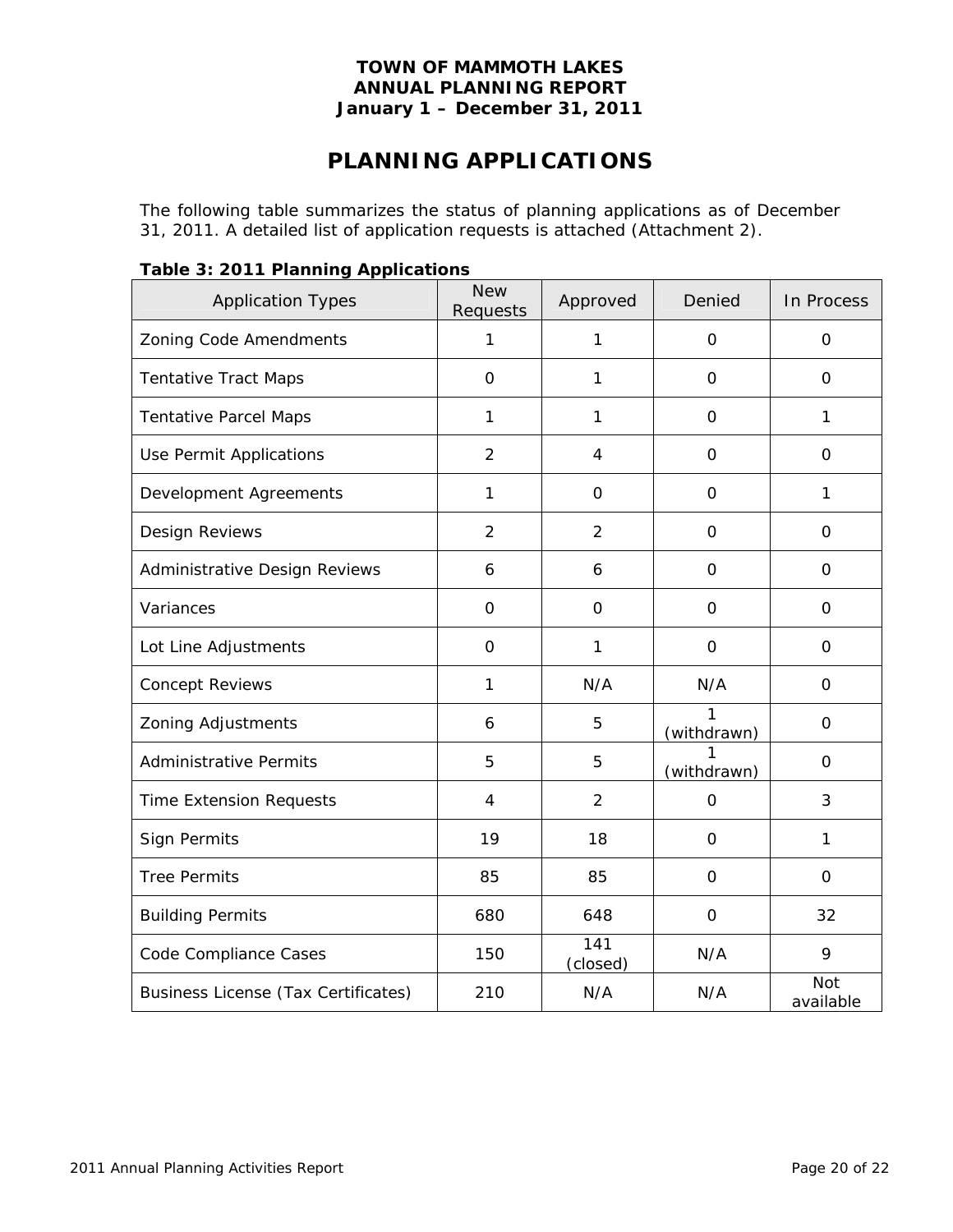# **PLANNING APPLICATIONS**

The following table summarizes the status of planning applications as of December 31, 2011. A detailed list of application requests is attached (Attachment 2).

| <b>Application Types</b>                   | <b>New</b><br>Requests | Approved                     | Denied           | In Process       |
|--------------------------------------------|------------------------|------------------------------|------------------|------------------|
| Zoning Code Amendments                     | 1                      | 1                            | $\mathbf 0$      | $\mathbf 0$      |
| <b>Tentative Tract Maps</b>                | $\mathbf 0$            | 1                            | $\mathbf{O}$     | $\mathbf 0$      |
| <b>Tentative Parcel Maps</b>               | 1                      | 1                            | 0                | 1                |
| Use Permit Applications                    | $\overline{2}$         | 4                            | $\mathbf 0$      | $\mathsf O$      |
| Development Agreements                     | 1                      | $\mathbf 0$                  | $\mathbf 0$      | 1                |
| Design Reviews                             | $\overline{2}$         | $\overline{2}$               | $\Omega$         | $\Omega$         |
| Administrative Design Reviews              | 6                      | 6                            | $\Omega$         | $\Omega$         |
| Variances                                  | $\Omega$               | $\Omega$                     | $\Omega$         | $\Omega$         |
| Lot Line Adjustments                       | $\Omega$               | 1                            | $\Omega$         | $\Omega$         |
| <b>Concept Reviews</b>                     | $\mathbf{1}$           | N/A                          | N/A              | $\mathbf 0$      |
| Zoning Adjustments                         | 6                      | 5                            | 1<br>(withdrawn) | $\mathbf 0$      |
| <b>Administrative Permits</b>              | 5                      | 5                            | (withdrawn)      | $\mathbf 0$      |
| <b>Time Extension Requests</b>             | 4                      | $\overline{2}$               | $\mathbf 0$      | 3                |
| Sign Permits                               | 19                     | 18                           | $\mathbf 0$      | 1                |
| <b>Tree Permits</b>                        | 85                     | 85                           | $\Omega$         | $\Omega$         |
| <b>Building Permits</b>                    | 680                    | 648                          | $\mathbf 0$      | 32               |
| Code Compliance Cases                      | 150                    | $\overline{141}$<br>(closed) | N/A              | 9                |
| <b>Business License (Tax Certificates)</b> | 210                    | N/A                          | N/A              | Not<br>available |

## **Table 3: 2011 Planning Applications**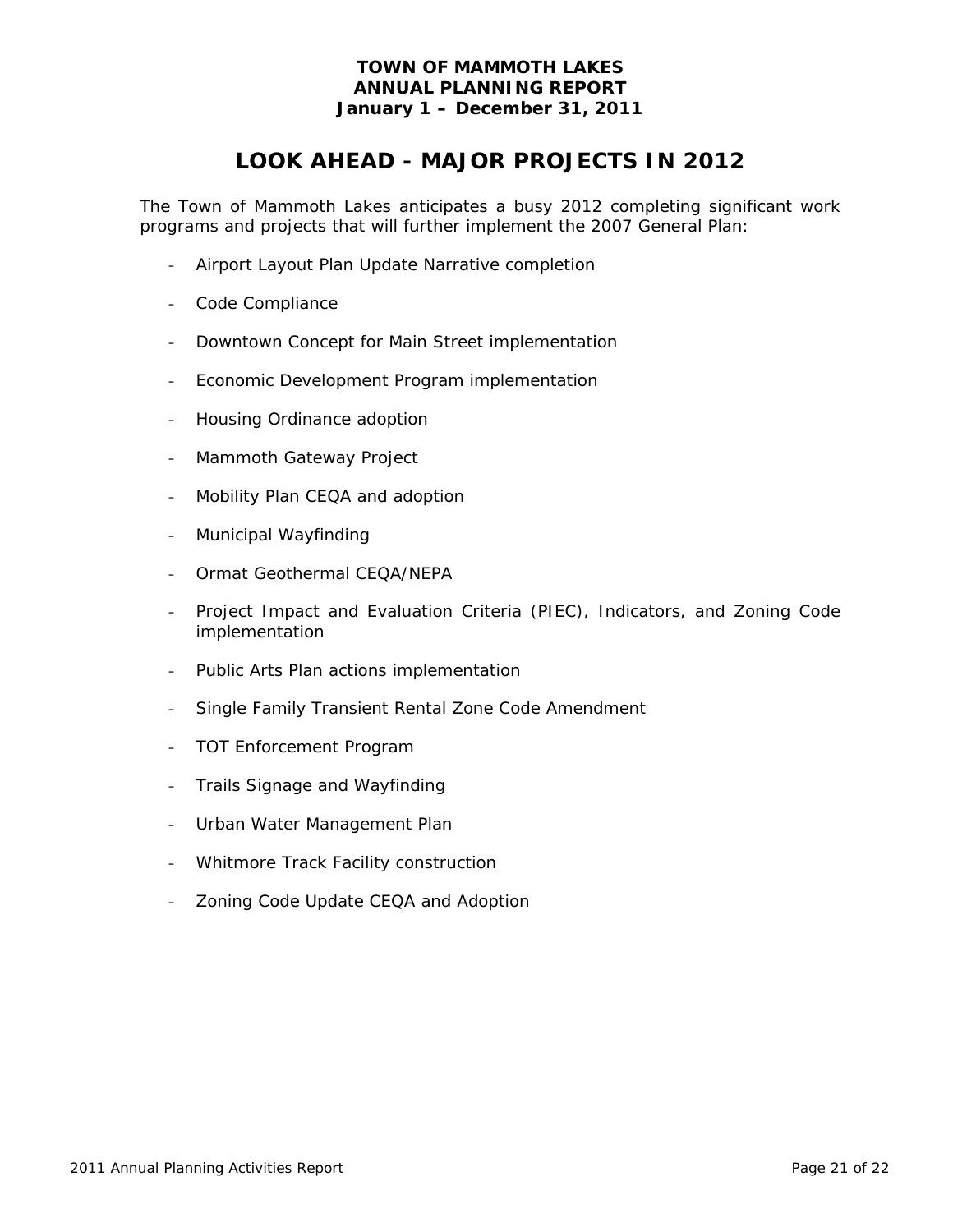# **LOOK AHEAD - MAJOR PROJECTS IN 2012**

The Town of Mammoth Lakes anticipates a busy 2012 completing significant work programs and projects that will further implement the 2007 General Plan:

- Airport Layout Plan Update Narrative completion
- Code Compliance
- Downtown Concept for Main Street implementation
- Economic Development Program implementation
- Housing Ordinance adoption
- Mammoth Gateway Project
- Mobility Plan CEQA and adoption
- Municipal Wayfinding
- Ormat Geothermal CEQA/NEPA
- Project Impact and Evaluation Criteria (PIEC), Indicators, and Zoning Code implementation
- Public Arts Plan actions implementation
- Single Family Transient Rental Zone Code Amendment
- TOT Enforcement Program
- Trails Signage and Wayfinding
- Urban Water Management Plan
- Whitmore Track Facility construction
- Zoning Code Update CEQA and Adoption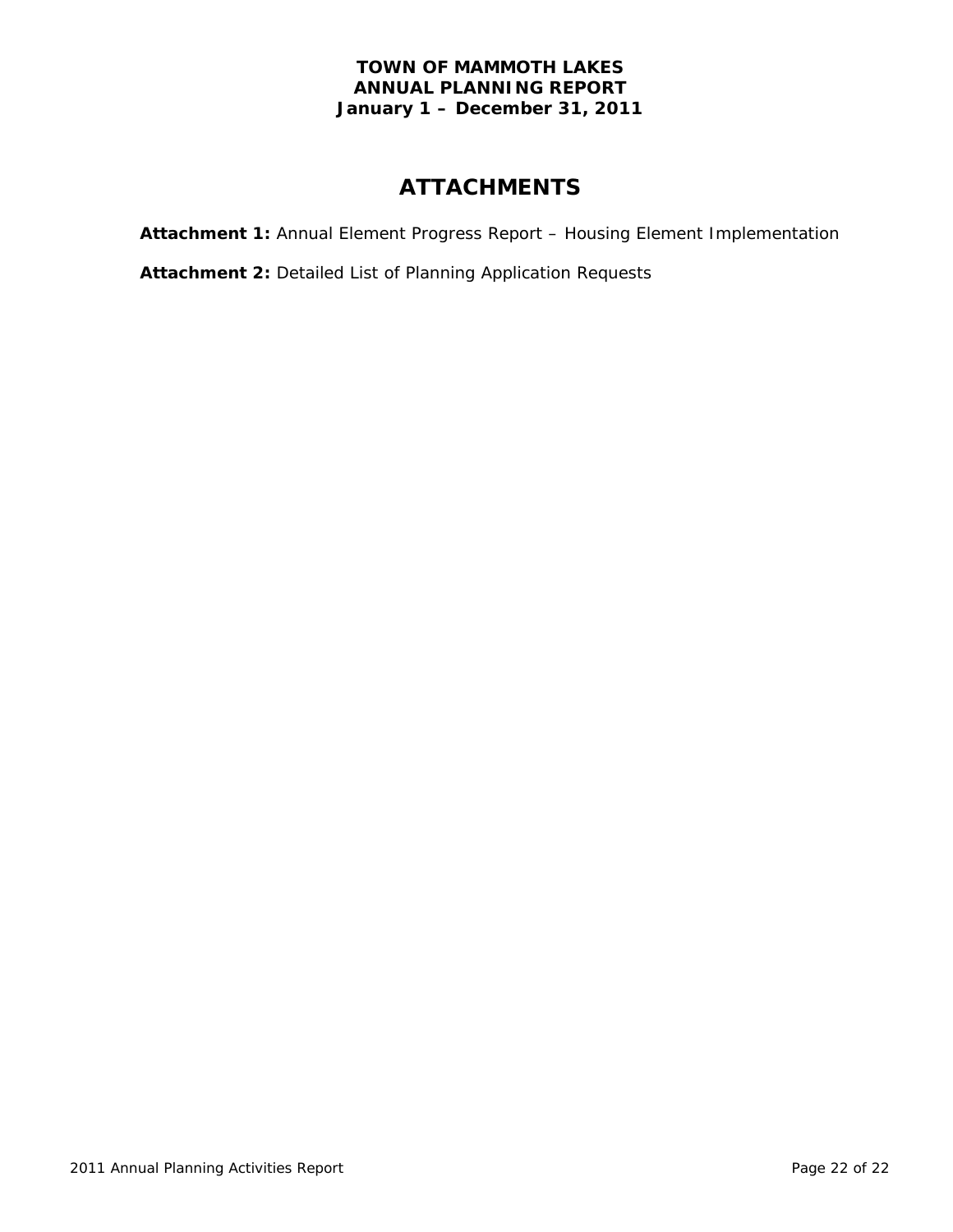# **ATTACHMENTS**

**Attachment 1:** Annual Element Progress Report – Housing Element Implementation

**Attachment 2:** Detailed List of Planning Application Requests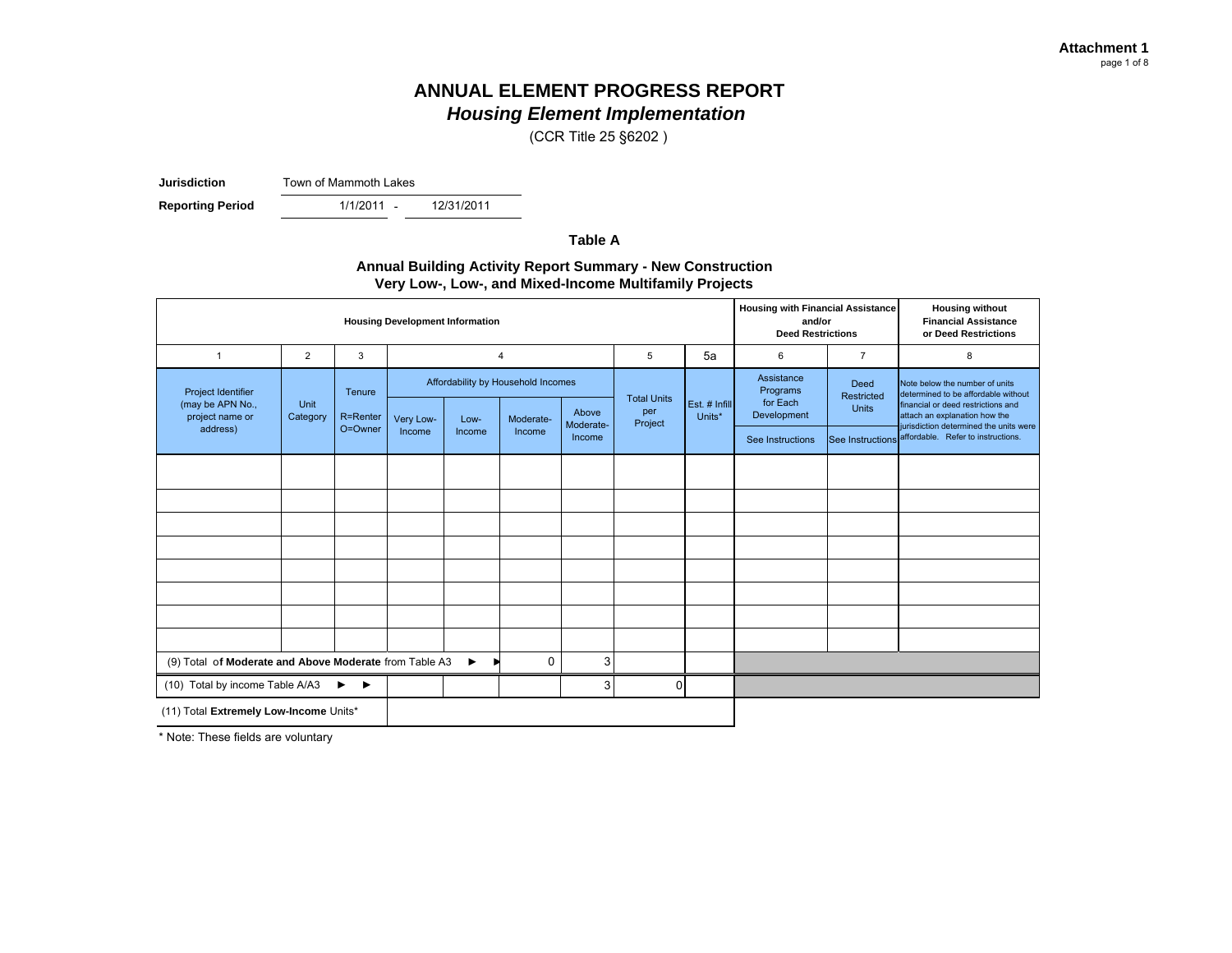(CCR Title 25 §6202 )

**Jurisdiction**Town of Mammoth Lakes

**Reporting Period** 

- 12/31/2011

**Table A**

#### **Annual Building Activity Report Summary - New Construction Very Low-, Low-, and Mixed-Income Multifamily Projects**

| <b>Housing Development Information</b>                                                    |                |                            |                                    |        |                |                    |                          |               |                                    | <b>Housing with Financial Assistance</b><br>and/or<br><b>Deed Restrictions</b> | <b>Housing without</b><br><b>Financial Assistance</b><br>or Deed Restrictions                               |                                    |                                                                         |
|-------------------------------------------------------------------------------------------|----------------|----------------------------|------------------------------------|--------|----------------|--------------------|--------------------------|---------------|------------------------------------|--------------------------------------------------------------------------------|-------------------------------------------------------------------------------------------------------------|------------------------------------|-------------------------------------------------------------------------|
| $\overline{1}$                                                                            | $\overline{2}$ | 3                          |                                    |        | $\overline{4}$ |                    | 5                        | 5a            | 6                                  | $\overline{7}$                                                                 | 8                                                                                                           |                                    |                                                                         |
| Project Identifier<br>(may be APN No.,                                                    | Unit           | Tenure                     | Affordability by Household Incomes |        |                |                    | <b>Total Units</b>       | Est. # Infill | Assistance<br>Programs<br>for Each | Deed<br>Restricted<br>Units                                                    | Note below the number of units<br>determined to be affordable without<br>financial or deed restrictions and |                                    |                                                                         |
| project name or<br>address)                                                               | Category       | R=Renter<br>O=Owner        | Very Low-                          | Low-   | Moderate-      | Above<br>Moderate- | per<br>Units*<br>Project |               |                                    |                                                                                | Development                                                                                                 |                                    | attach an explanation how the<br>jurisdiction determined the units were |
|                                                                                           |                |                            | Income                             | Income | Income         | Income             |                          |               |                                    | See Instructions                                                               | See Instructions                                                                                            | affordable. Refer to instructions. |                                                                         |
|                                                                                           |                |                            |                                    |        |                |                    |                          |               |                                    |                                                                                |                                                                                                             |                                    |                                                                         |
|                                                                                           |                |                            |                                    |        |                |                    |                          |               |                                    |                                                                                |                                                                                                             |                                    |                                                                         |
|                                                                                           |                |                            |                                    |        |                |                    |                          |               |                                    |                                                                                |                                                                                                             |                                    |                                                                         |
|                                                                                           |                |                            |                                    |        |                |                    |                          |               |                                    |                                                                                |                                                                                                             |                                    |                                                                         |
|                                                                                           |                |                            |                                    |        |                |                    |                          |               |                                    |                                                                                |                                                                                                             |                                    |                                                                         |
|                                                                                           |                |                            |                                    |        |                |                    |                          |               |                                    |                                                                                |                                                                                                             |                                    |                                                                         |
|                                                                                           |                |                            |                                    |        |                |                    |                          |               |                                    |                                                                                |                                                                                                             |                                    |                                                                         |
|                                                                                           |                |                            |                                    |        |                |                    |                          |               |                                    |                                                                                |                                                                                                             |                                    |                                                                         |
| (9) Total of Moderate and Above Moderate from Table A3<br>3<br>0<br>$\blacktriangleright$ |                |                            |                                    |        |                |                    |                          |               |                                    |                                                                                |                                                                                                             |                                    |                                                                         |
| (10) Total by income Table A/A3                                                           |                | ▶<br>$\blacktriangleright$ |                                    |        |                | 3                  | $\Omega$                 |               |                                    |                                                                                |                                                                                                             |                                    |                                                                         |
| (11) Total Extremely Low-Income Units*                                                    |                |                            |                                    |        |                |                    |                          |               |                                    |                                                                                |                                                                                                             |                                    |                                                                         |

\* Note: These fields are voluntary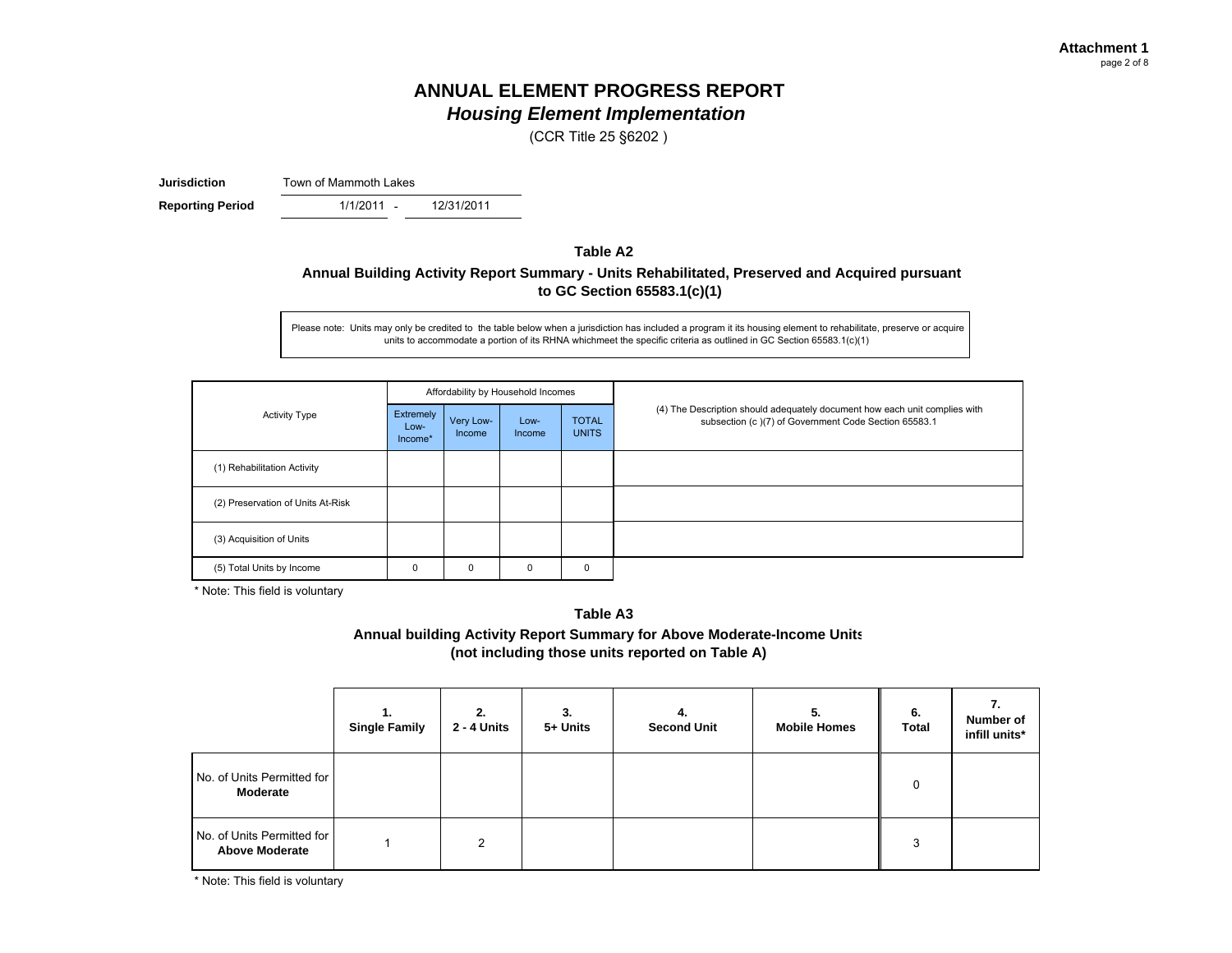(CCR Title 25 §6202 )

**Jurisdiction**Town of Mammoth Lakes

 $1/1/2011 -$ **Reporting Period** 1/1/2011 - 12/31/2011

#### **Table A2Annual Building Activity Report Summary - Units Rehabilitated, Preserved and Acquired pursuant to GC Section 65583.1(c)(1)**

Please note: Units may only be credited to the table below when a jurisdiction has included a program it its housing element to rehabilitate, preserve or acquire units to accommodate a portion of its RHNA whichmeet the specific criteria as outlined in GC Section 65583.1(c)(1)

|                                   |                              |                     | Affordability by Household Incomes |                              |                                                                                                                                    |
|-----------------------------------|------------------------------|---------------------|------------------------------------|------------------------------|------------------------------------------------------------------------------------------------------------------------------------|
| <b>Activity Type</b>              | Extremely<br>Low-<br>Income* | Very Low-<br>Income | Low-<br>Income                     | <b>TOTAL</b><br><b>UNITS</b> | (4) The Description should adequately document how each unit complies with<br>subsection (c)(7) of Government Code Section 65583.1 |
| (1) Rehabilitation Activity       |                              |                     |                                    |                              |                                                                                                                                    |
| (2) Preservation of Units At-Risk |                              |                     |                                    |                              |                                                                                                                                    |
| (3) Acquisition of Units          |                              |                     |                                    |                              |                                                                                                                                    |
| (5) Total Units by Income         | 0                            | 0                   | 0                                  | $\mathbf 0$                  |                                                                                                                                    |

\* Note: This field is voluntary

**Table A3**

**Annual building Activity Report Summary for Above Moderate-Income Units (not including those units reported on Table A)**

|                                                     | 1.<br><b>Single Family</b> | 2.<br>2 - 4 Units | 3.<br>5+ Units | 4.<br><b>Second Unit</b> | 5.<br><b>Mobile Homes</b> | 6.<br><b>Total</b> | 7.<br>Number of<br>infill units* |
|-----------------------------------------------------|----------------------------|-------------------|----------------|--------------------------|---------------------------|--------------------|----------------------------------|
| No. of Units Permitted for<br>Moderate              |                            |                   |                |                          |                           | 0                  |                                  |
| No. of Units Permitted for<br><b>Above Moderate</b> |                            | C                 |                |                          |                           | 3                  |                                  |

\* Note: This field is voluntary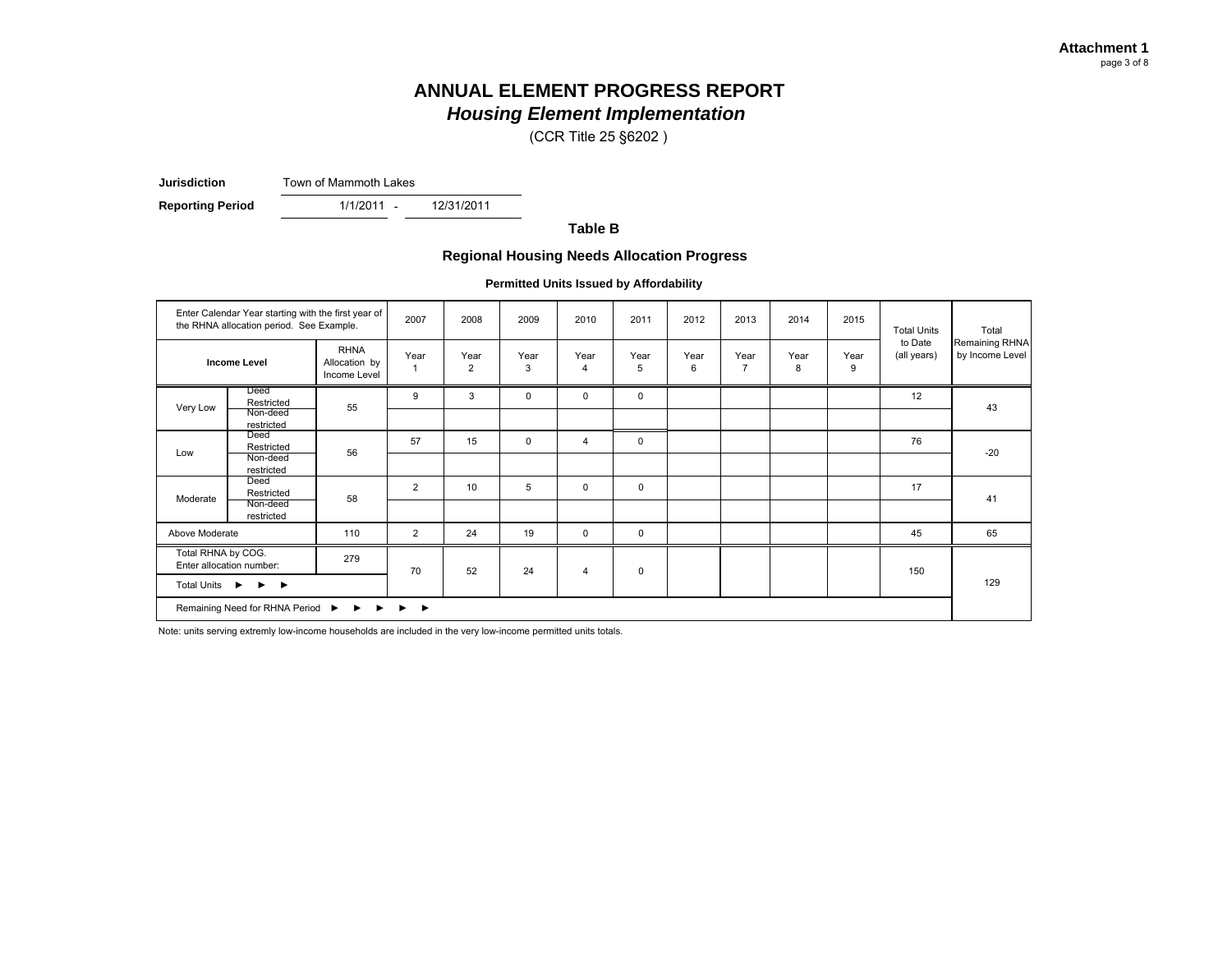(CCR Title 25 §6202 )

**Jurisdiction**Town of Mammoth Lakes

-

**Reporting Period** 1/1/2011 - 12/31/2011

**Table B**

#### **Regional Housing Needs Allocation Progress**

**Permitted Units Issued by Affordability**

|                    | Enter Calendar Year starting with the first year of<br>the RHNA allocation period. See Example.                                      |                                              | 2007           | 2008                   | 2009        | 2010                   | 2011        | 2012      | 2013                   | 2014      | 2015      | <b>Total Units</b>     | Total                             |
|--------------------|--------------------------------------------------------------------------------------------------------------------------------------|----------------------------------------------|----------------|------------------------|-------------|------------------------|-------------|-----------|------------------------|-----------|-----------|------------------------|-----------------------------------|
|                    | <b>Income Level</b>                                                                                                                  | <b>RHNA</b><br>Allocation by<br>Income Level | Year           | Year<br>$\overline{2}$ | Year<br>3   | Year<br>$\overline{4}$ | Year<br>5   | Year<br>6 | Year<br>$\overline{7}$ | Year<br>8 | Year<br>9 | to Date<br>(all years) | Remaining RHNA<br>by Income Level |
| Very Low           | Deed<br>Restricted<br>Non-deed                                                                                                       | 55                                           | 9              | 3                      | $\mathbf 0$ | $\mathbf 0$            | $\mathbf 0$ |           |                        |           |           | 12                     | 43                                |
| Low                | restricted<br>Deed<br>Restricted                                                                                                     | 56                                           | 57             | 15                     | $\mathbf 0$ | $\overline{4}$         | $\mathbf 0$ |           |                        |           |           | 76                     | $-20$                             |
|                    | Non-deed<br>restricted                                                                                                               |                                              |                |                        |             |                        |             |           |                        |           |           |                        |                                   |
| Moderate           | Deed<br>Restricted<br>Non-deed<br>restricted                                                                                         | 58                                           | 2              | 10                     | 5           | $\mathbf 0$            | $\mathbf 0$ |           |                        |           |           | 17                     | 41                                |
| Above Moderate     |                                                                                                                                      | 110                                          | $\overline{2}$ | 24                     | 19          | $\mathbf 0$            | $\mathbf 0$ |           |                        |           |           | 45                     | 65                                |
| Total RHNA by COG. | Enter allocation number:                                                                                                             | 279                                          | 70             | 52                     | 24          | $\overline{4}$         | $\mathbf 0$ |           |                        |           |           | 150                    |                                   |
| Total Units ▶      | $\rightarrow$<br>Remaining Need for RHNA Period $\triangleright$ $\triangleright$ $\triangleright$ $\triangleright$ $\triangleright$ |                                              |                |                        |             |                        |             |           |                        |           |           |                        | 129                               |
|                    |                                                                                                                                      |                                              |                |                        |             |                        |             |           |                        |           |           |                        |                                   |

Note: units serving extremly low-income households are included in the very low-income permitted units totals.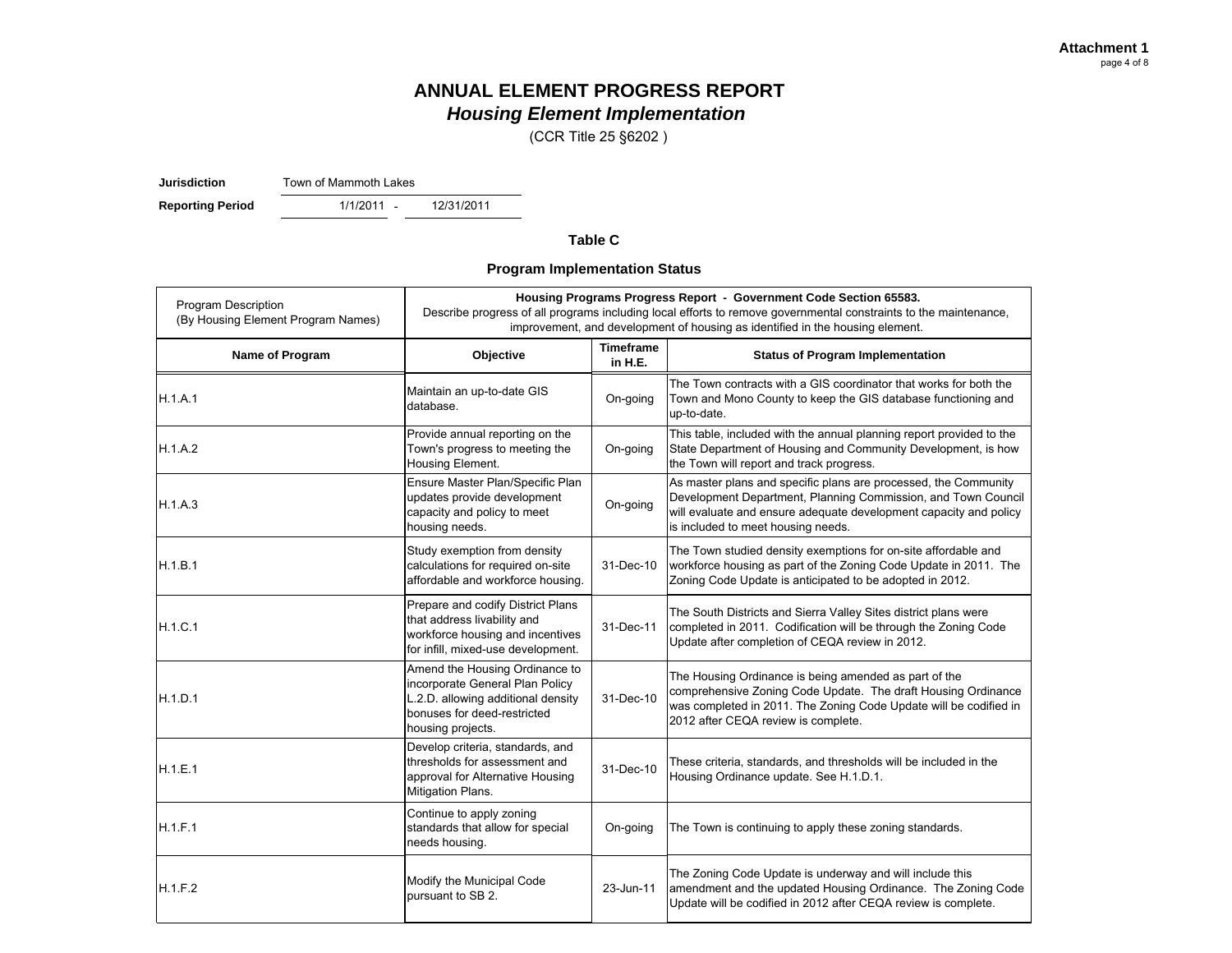(CCR Title 25 §6202 )

**Jurisdiction**Town of Mammoth Lakes

- **Reporting Period** 1/1/2011 - 12/31/2011

#### **Table C**

**Program Implementation Status**

| <b>Program Description</b><br>(By Housing Element Program Names) |                                                                                                                                                             |                             | Housing Programs Progress Report - Government Code Section 65583.<br>Describe progress of all programs including local efforts to remove governmental constraints to the maintenance,<br>improvement, and development of housing as identified in the housing element. |
|------------------------------------------------------------------|-------------------------------------------------------------------------------------------------------------------------------------------------------------|-----------------------------|------------------------------------------------------------------------------------------------------------------------------------------------------------------------------------------------------------------------------------------------------------------------|
| Name of Program                                                  | Objective                                                                                                                                                   | <b>Timeframe</b><br>in H.E. | <b>Status of Program Implementation</b>                                                                                                                                                                                                                                |
| H.1.A.1                                                          | Maintain an up-to-date GIS<br>database.                                                                                                                     | On-going                    | The Town contracts with a GIS coordinator that works for both the<br>Town and Mono County to keep the GIS database functioning and<br>up-to-date.                                                                                                                      |
| H.1.A.2                                                          | Provide annual reporting on the<br>Town's progress to meeting the<br>Housing Element.                                                                       | On-going                    | This table, included with the annual planning report provided to the<br>State Department of Housing and Community Development, is how<br>the Town will report and track progress.                                                                                      |
| H.1.A.3                                                          | Ensure Master Plan/Specific Plan<br>updates provide development<br>capacity and policy to meet<br>housing needs.                                            | On-going                    | As master plans and specific plans are processed, the Community<br>Development Department, Planning Commission, and Town Council<br>will evaluate and ensure adequate development capacity and policy<br>is included to meet housing needs.                            |
| H.1.B.1                                                          | Study exemption from density<br>calculations for required on-site<br>affordable and workforce housing.                                                      | 31-Dec-10                   | The Town studied density exemptions for on-site affordable and<br>workforce housing as part of the Zoning Code Update in 2011. The<br>Zoning Code Update is anticipated to be adopted in 2012.                                                                         |
| H.1.C.1                                                          | Prepare and codify District Plans<br>that address livability and<br>workforce housing and incentives<br>for infill, mixed-use development.                  | 31-Dec-11                   | The South Districts and Sierra Valley Sites district plans were<br>completed in 2011. Codification will be through the Zoning Code<br>Update after completion of CEQA review in 2012.                                                                                  |
| H.1.D.1                                                          | Amend the Housing Ordinance to<br>incorporate General Plan Policy<br>L.2.D. allowing additional density<br>bonuses for deed-restricted<br>housing projects. | 31-Dec-10                   | The Housing Ordinance is being amended as part of the<br>comprehensive Zoning Code Update. The draft Housing Ordinance<br>was completed in 2011. The Zoning Code Update will be codified in<br>2012 after CEQA review is complete.                                     |
| H.1.E.1                                                          | Develop criteria, standards, and<br>thresholds for assessment and<br>approval for Alternative Housing<br>Mitigation Plans.                                  | 31-Dec-10                   | These criteria, standards, and thresholds will be included in the<br>Housing Ordinance update. See H.1.D.1.                                                                                                                                                            |
| H.1.F.1                                                          | Continue to apply zoning<br>standards that allow for special<br>needs housing.                                                                              | On-going                    | The Town is continuing to apply these zoning standards.                                                                                                                                                                                                                |
| H.1.F.2                                                          | Modify the Municipal Code<br>pursuant to SB 2.                                                                                                              | 23-Jun-11                   | The Zoning Code Update is underway and will include this<br>amendment and the updated Housing Ordinance. The Zoning Code<br>Update will be codified in 2012 after CEQA review is complete.                                                                             |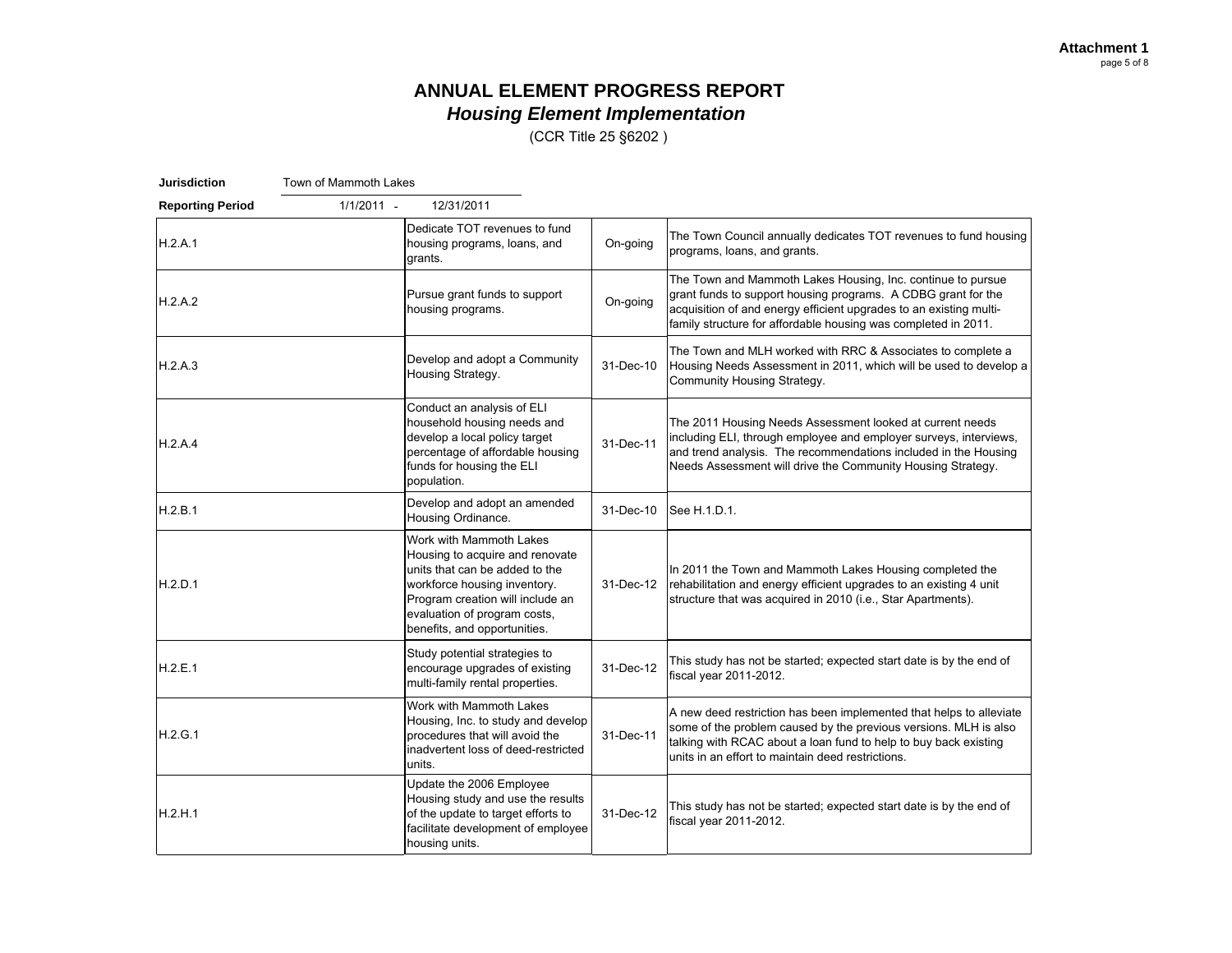(CCR Title 25 §6202 )

| <b>Jurisdiction</b>     | Town of Mammoth Lakes |                                                                                                                                                                                                                                  |           |                                                                                                                                                                                                                                                                      |
|-------------------------|-----------------------|----------------------------------------------------------------------------------------------------------------------------------------------------------------------------------------------------------------------------------|-----------|----------------------------------------------------------------------------------------------------------------------------------------------------------------------------------------------------------------------------------------------------------------------|
| <b>Reporting Period</b> | $1/1/2011 -$          | 12/31/2011                                                                                                                                                                                                                       |           |                                                                                                                                                                                                                                                                      |
| H.2.A.1                 |                       | Dedicate TOT revenues to fund<br>housing programs, loans, and<br>grants.                                                                                                                                                         | On-going  | The Town Council annually dedicates TOT revenues to fund housing<br>programs, loans, and grants.                                                                                                                                                                     |
| H.2.A.2                 |                       | Pursue grant funds to support<br>housing programs.                                                                                                                                                                               | On-going  | The Town and Mammoth Lakes Housing, Inc. continue to pursue<br>grant funds to support housing programs. A CDBG grant for the<br>acquisition of and energy efficient upgrades to an existing multi-<br>family structure for affordable housing was completed in 2011. |
| H.2.A.3                 |                       | Develop and adopt a Community<br>Housing Strategy.                                                                                                                                                                               | 31-Dec-10 | The Town and MLH worked with RRC & Associates to complete a<br>Housing Needs Assessment in 2011, which will be used to develop a<br>Community Housing Strategy.                                                                                                      |
| H.2.A.4                 |                       | Conduct an analysis of ELI<br>household housing needs and<br>develop a local policy target<br>percentage of affordable housing<br>funds for housing the ELI<br>population.                                                       | 31-Dec-11 | The 2011 Housing Needs Assessment looked at current needs<br>including ELI, through employee and employer surveys, interviews,<br>and trend analysis. The recommendations included in the Housing<br>Needs Assessment will drive the Community Housing Strategy.     |
| H.2.B.1                 |                       | Develop and adopt an amended<br>Housing Ordinance.                                                                                                                                                                               | 31-Dec-10 | See H.1.D.1.                                                                                                                                                                                                                                                         |
| H.2.D.1                 |                       | Work with Mammoth Lakes<br>Housing to acquire and renovate<br>units that can be added to the<br>workforce housing inventory.<br>Program creation will include an<br>evaluation of program costs,<br>benefits, and opportunities. | 31-Dec-12 | In 2011 the Town and Mammoth Lakes Housing completed the<br>rehabilitation and energy efficient upgrades to an existing 4 unit<br>structure that was acquired in 2010 (i.e., Star Apartments).                                                                       |
| H.2.E.1                 |                       | Study potential strategies to<br>encourage upgrades of existing<br>multi-family rental properties.                                                                                                                               | 31-Dec-12 | This study has not be started; expected start date is by the end of<br>fiscal year 2011-2012.                                                                                                                                                                        |
| H.2.G.1                 |                       | Work with Mammoth Lakes<br>Housing, Inc. to study and develop<br>procedures that will avoid the<br>inadvertent loss of deed-restricted<br>units.                                                                                 | 31-Dec-11 | A new deed restriction has been implemented that helps to alleviate<br>some of the problem caused by the previous versions. MLH is also<br>talking with RCAC about a loan fund to help to buy back existing<br>units in an effort to maintain deed restrictions.     |
| H.2.H.1                 |                       | Update the 2006 Employee<br>Housing study and use the results<br>of the update to target efforts to<br>facilitate development of employee<br>housing units.                                                                      | 31-Dec-12 | This study has not be started; expected start date is by the end of<br>fiscal year 2011-2012.                                                                                                                                                                        |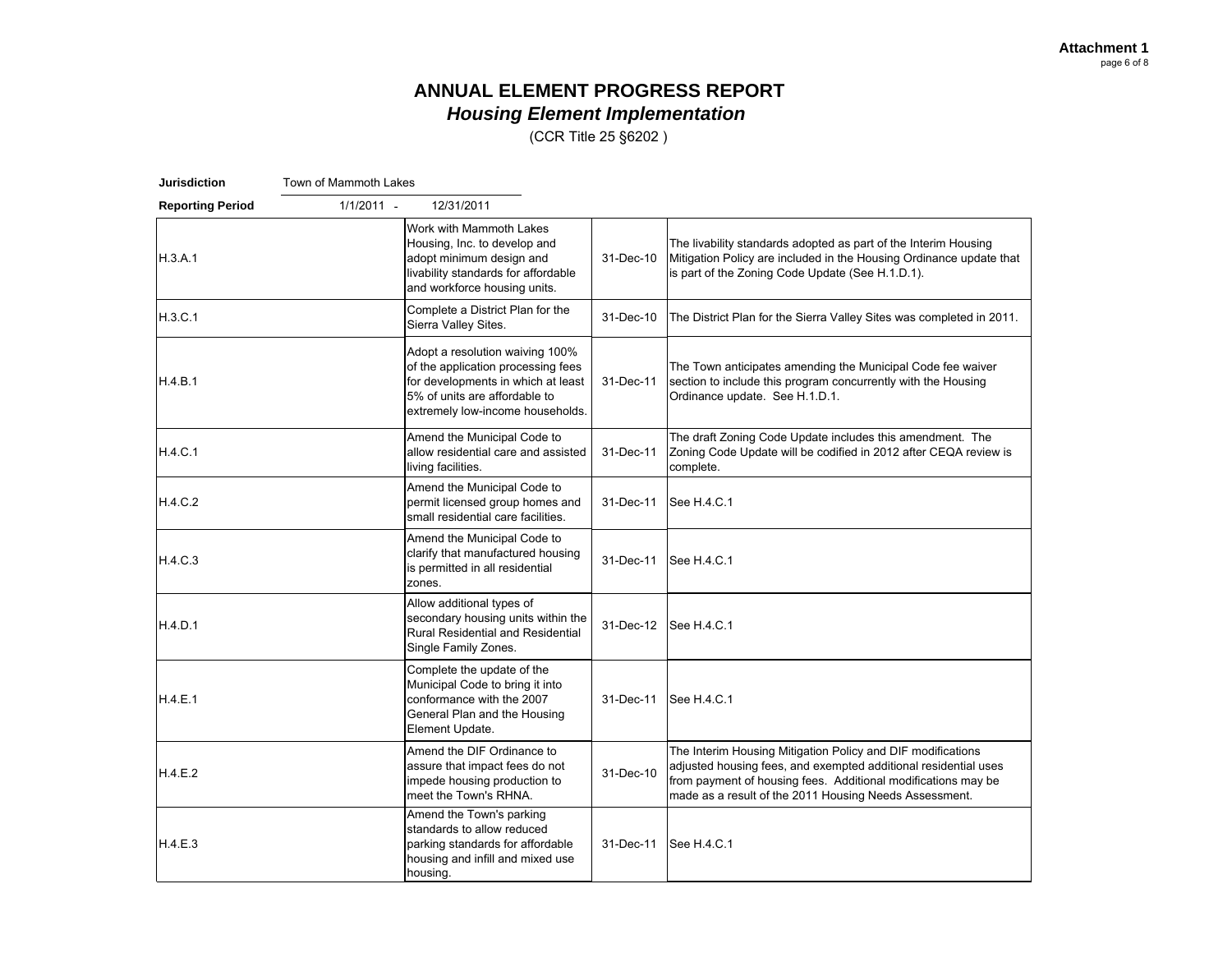(CCR Title 25 §6202 )

| <b>Jurisdiction</b>     | Town of Mammoth Lakes |                                                                                                                                                                                  |           |                                                                                                                                                                                                                                                           |
|-------------------------|-----------------------|----------------------------------------------------------------------------------------------------------------------------------------------------------------------------------|-----------|-----------------------------------------------------------------------------------------------------------------------------------------------------------------------------------------------------------------------------------------------------------|
| <b>Reporting Period</b> | $1/1/2011 -$          | 12/31/2011                                                                                                                                                                       |           |                                                                                                                                                                                                                                                           |
| H.3.A.1                 |                       | Work with Mammoth Lakes<br>Housing, Inc. to develop and<br>adopt minimum design and<br>livability standards for affordable<br>and workforce housing units.                       | 31-Dec-10 | The livability standards adopted as part of the Interim Housing<br>Mitigation Policy are included in the Housing Ordinance update that<br>is part of the Zoning Code Update (See H.1.D.1).                                                                |
| H.3.C.1                 |                       | Complete a District Plan for the<br>Sierra Valley Sites.                                                                                                                         | 31-Dec-10 | The District Plan for the Sierra Valley Sites was completed in 2011.                                                                                                                                                                                      |
| H.4.B.1                 |                       | Adopt a resolution waiving 100%<br>of the application processing fees<br>for developments in which at least<br>5% of units are affordable to<br>extremely low-income households. | 31-Dec-11 | The Town anticipates amending the Municipal Code fee waiver<br>section to include this program concurrently with the Housing<br>Ordinance update. See H.1.D.1.                                                                                            |
| H.4.C.1                 |                       | Amend the Municipal Code to<br>allow residential care and assisted<br>living facilities.                                                                                         | 31-Dec-11 | The draft Zoning Code Update includes this amendment. The<br>Zoning Code Update will be codified in 2012 after CEQA review is<br>complete.                                                                                                                |
| H.4.C.2                 |                       | Amend the Municipal Code to<br>permit licensed group homes and<br>small residential care facilities.                                                                             | 31-Dec-11 | See H.4.C.1                                                                                                                                                                                                                                               |
| H.4.C.3                 |                       | Amend the Municipal Code to<br>clarify that manufactured housing<br>is permitted in all residential<br>zones.                                                                    | 31-Dec-11 | See H.4.C.1                                                                                                                                                                                                                                               |
| H.4.D.1                 |                       | Allow additional types of<br>secondary housing units within the<br>Rural Residential and Residential<br>Single Family Zones.                                                     | 31-Dec-12 | See H.4.C.1                                                                                                                                                                                                                                               |
| H.4.E.1                 |                       | Complete the update of the<br>Municipal Code to bring it into<br>conformance with the 2007<br>General Plan and the Housing<br>Element Update.                                    | 31-Dec-11 | See H.4.C.1                                                                                                                                                                                                                                               |
| H.4.E.2                 |                       | Amend the DIF Ordinance to<br>assure that impact fees do not<br>impede housing production to<br>meet the Town's RHNA.                                                            | 31-Dec-10 | The Interim Housing Mitigation Policy and DIF modifications<br>adjusted housing fees, and exempted additional residential uses<br>from payment of housing fees. Additional modifications may be<br>made as a result of the 2011 Housing Needs Assessment. |
| H.4.E.3                 |                       | Amend the Town's parking<br>standards to allow reduced<br>parking standards for affordable<br>housing and infill and mixed use<br>housing.                                       | 31-Dec-11 | See H.4.C.1                                                                                                                                                                                                                                               |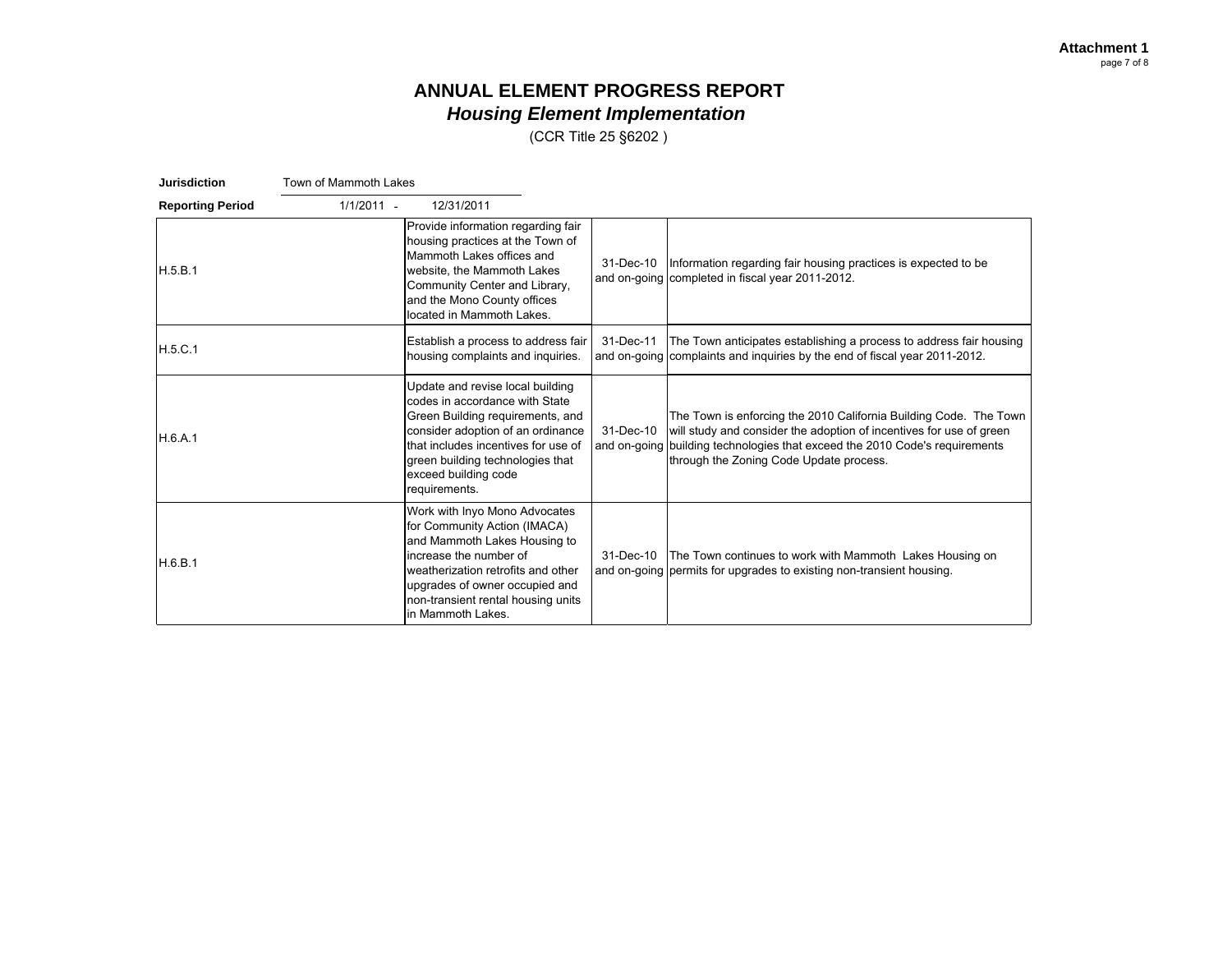(CCR Title 25 §6202 )

| <b>Jurisdiction</b>     | Town of Mammoth Lakes                                                                                                                                |                                                                                                                           |                                                                                                                                                                                                                                                                    |
|-------------------------|------------------------------------------------------------------------------------------------------------------------------------------------------|---------------------------------------------------------------------------------------------------------------------------|--------------------------------------------------------------------------------------------------------------------------------------------------------------------------------------------------------------------------------------------------------------------|
| <b>Reporting Period</b> | $1/1/2011 -$<br>12/31/2011                                                                                                                           |                                                                                                                           |                                                                                                                                                                                                                                                                    |
| H.5.B.1                 | Mammoth Lakes offices and<br>website, the Mammoth Lakes<br>Community Center and Library,<br>and the Mono County offices<br>located in Mammoth Lakes. | Provide information regarding fair<br>housing practices at the Town of<br>31-Dec-10                                       | Information regarding fair housing practices is expected to be<br>and on-going completed in fiscal year 2011-2012.                                                                                                                                                 |
| H.5.C.1                 |                                                                                                                                                      | Establish a process to address fair<br>31-Dec-11<br>housing complaints and inquiries.                                     | The Town anticipates establishing a process to address fair housing<br>and on-going complaints and inquiries by the end of fiscal year 2011-2012.                                                                                                                  |
| H.6.A.1                 | Update and revise local building<br>codes in accordance with State<br>green building technologies that<br>exceed building code<br>requirements.      | Green Building requirements, and<br>consider adoption of an ordinance<br>31-Dec-10<br>that includes incentives for use of | The Town is enforcing the 2010 California Building Code. The Town<br>will study and consider the adoption of incentives for use of green<br>and on-going building technologies that exceed the 2010 Code's requirements<br>through the Zoning Code Update process. |
| H.6.B.1                 | for Community Action (IMACA)<br>and Mammoth Lakes Housing to<br>increase the number of<br>weatherization retrofits and other<br>in Mammoth Lakes.    | Work with Inyo Mono Advocates<br>31-Dec-10<br>upgrades of owner occupied and<br>non-transient rental housing units        | The Town continues to work with Mammoth Lakes Housing on<br>and on-going permits for upgrades to existing non-transient housing.                                                                                                                                   |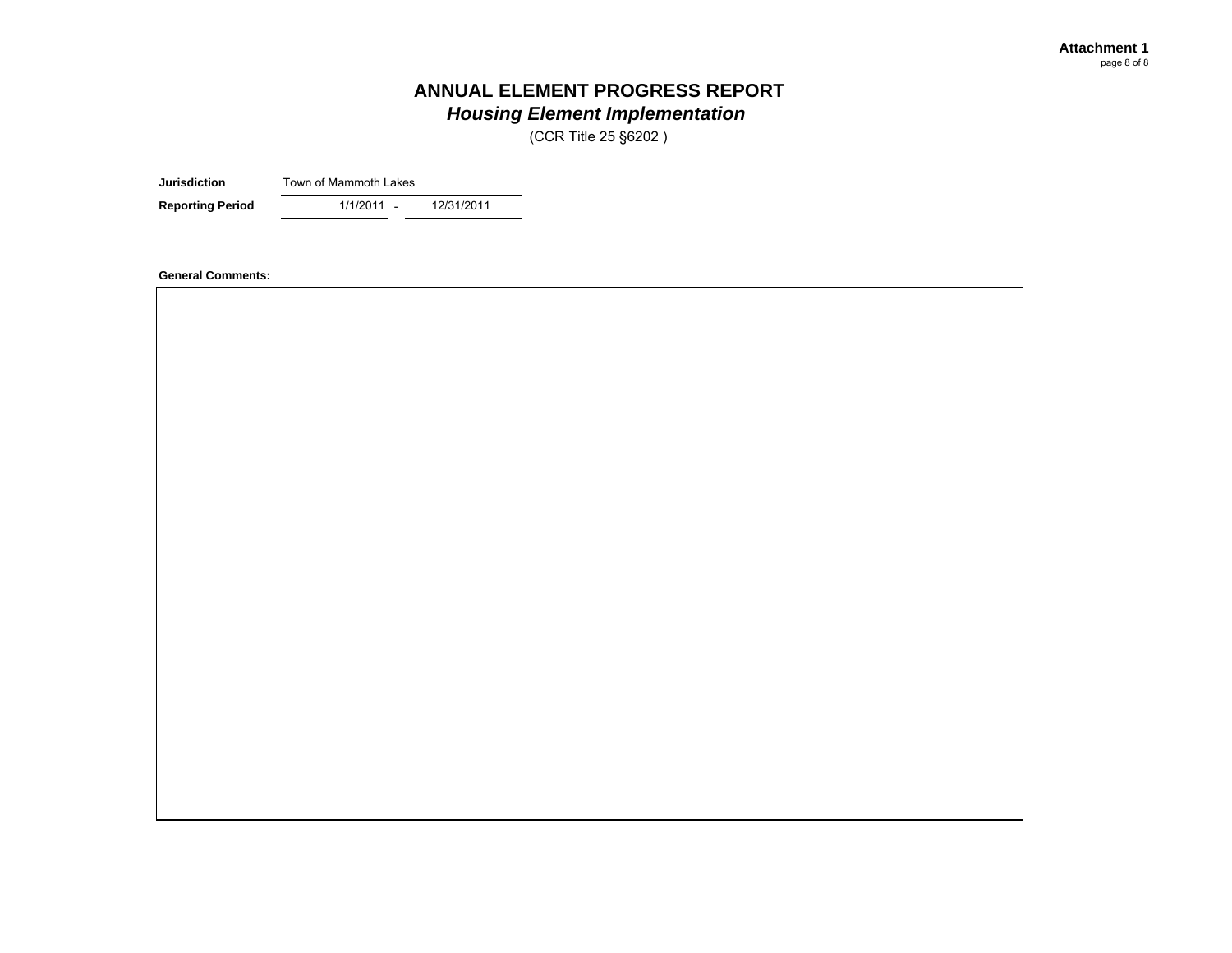(CCR Title 25 §6202 )

**Jurisdiction**Town of Mammoth Lakes

- **Reporting Period** 1/1/2011 - 12/31/2011

**General Comments:**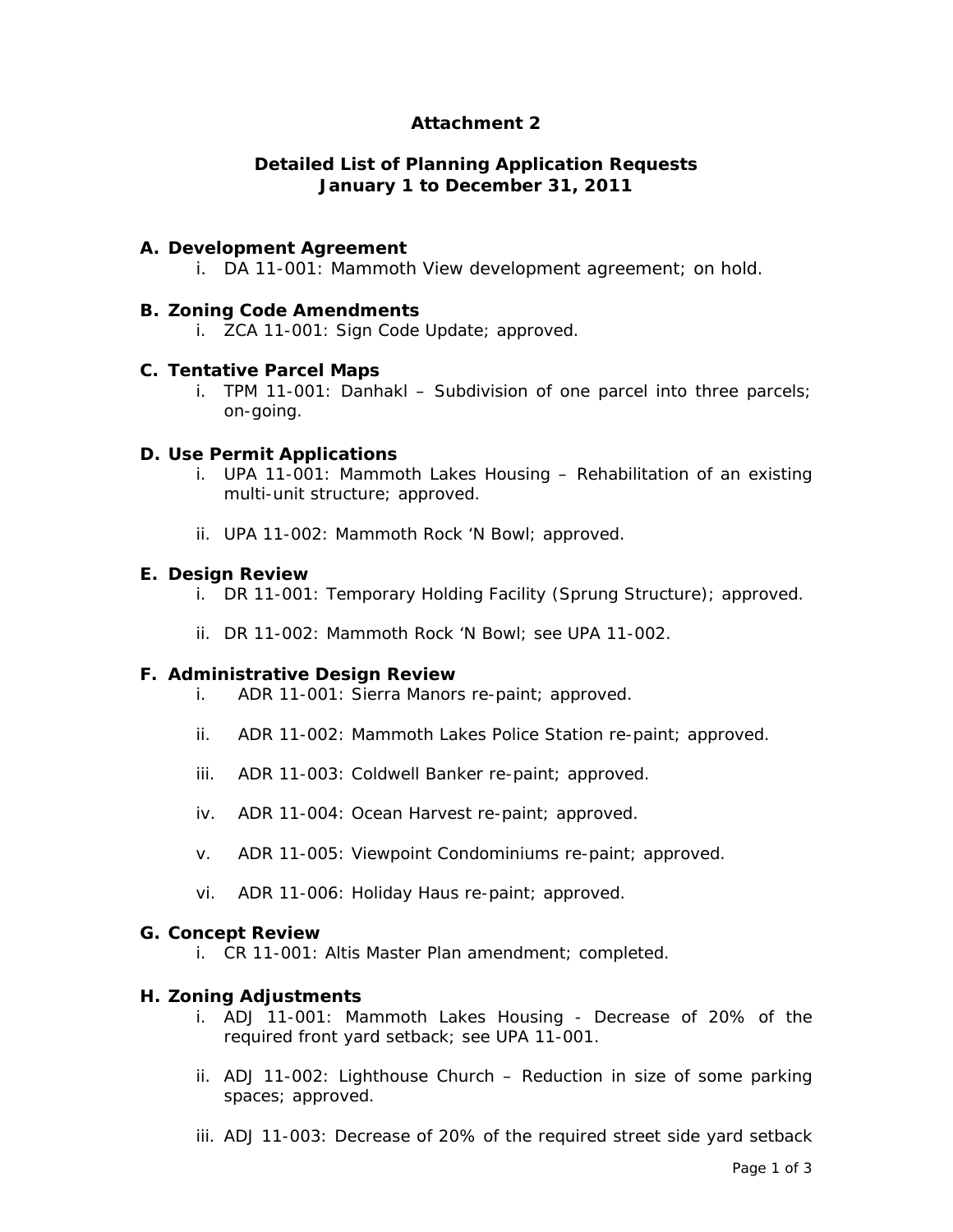## **Attachment 2**

#### **Detailed List of Planning Application Requests January 1 to December 31, 2011**

#### **A. Development Agreement**

i. DA 11-001: Mammoth View development agreement; on hold.

#### **B. Zoning Code Amendments**

i. ZCA 11-001: Sign Code Update; approved.

#### **C. Tentative Parcel Maps**

i. TPM 11-001: Danhakl – Subdivision of one parcel into three parcels; on-going.

#### **D. Use Permit Applications**

- i. UPA 11-001: Mammoth Lakes Housing Rehabilitation of an existing multi-unit structure; approved.
- ii. UPA 11-002: Mammoth Rock 'N Bowl; approved.

#### **E. Design Review**

- i. DR 11-001: Temporary Holding Facility (Sprung Structure); approved.
- ii. DR 11-002: Mammoth Rock 'N Bowl; see UPA 11-002.

#### **F. Administrative Design Review**

- i. ADR 11-001: Sierra Manors re-paint; approved.
- ii. ADR 11-002: Mammoth Lakes Police Station re-paint; approved.
- iii. ADR 11-003: Coldwell Banker re-paint; approved.
- iv. ADR 11-004: Ocean Harvest re-paint; approved.
- v. ADR 11-005: Viewpoint Condominiums re-paint; approved.
- vi. ADR 11-006: Holiday Haus re-paint; approved.

#### **G. Concept Review**

i. CR 11-001: Altis Master Plan amendment; completed.

#### **H. Zoning Adjustments**

- i. ADJ 11-001: Mammoth Lakes Housing Decrease of 20% of the required front yard setback; see UPA 11-001.
- ii. ADJ 11-002: Lighthouse Church Reduction in size of some parking spaces; approved.
- iii. ADJ 11-003: Decrease of 20% of the required street side yard setback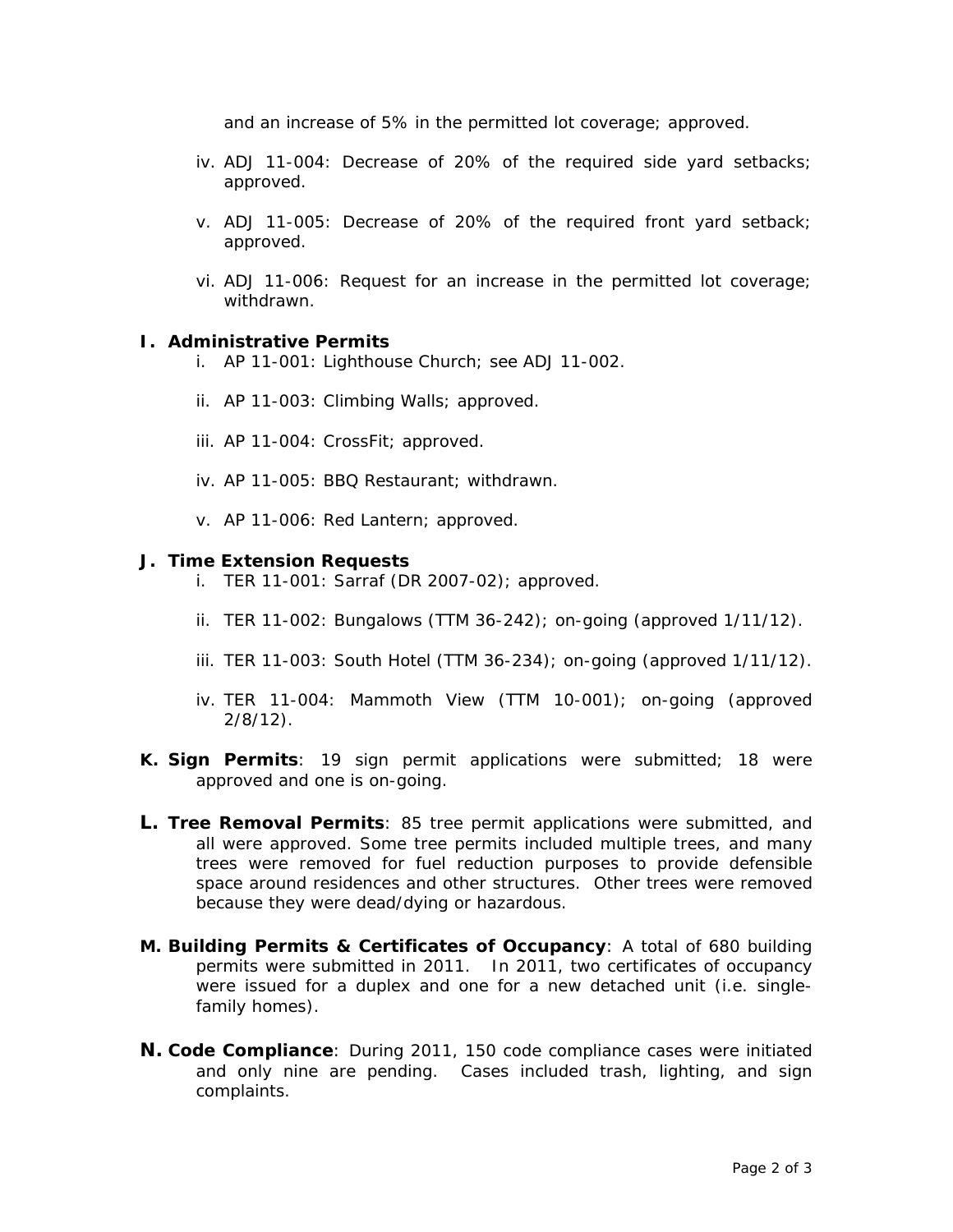and an increase of 5% in the permitted lot coverage; approved.

- iv. ADJ 11-004: Decrease of 20% of the required side yard setbacks; approved.
- v. ADJ 11-005: Decrease of 20% of the required front yard setback; approved.
- vi. ADJ 11-006: Request for an increase in the permitted lot coverage; withdrawn.

#### **I. Administrative Permits**

- i. AP 11-001: Lighthouse Church; see ADJ 11-002.
- ii. AP 11-003: Climbing Walls; approved.
- iii. AP 11-004: CrossFit; approved.
- iv. AP 11-005: BBQ Restaurant; withdrawn.
- v. AP 11-006: Red Lantern; approved.

#### **J. Time Extension Requests**

- i. TER 11-001: Sarraf (DR 2007-02); approved.
- ii. TER 11-002: Bungalows (TTM 36-242); on-going (approved 1/11/12).
- iii. TER 11-003: South Hotel (TTM 36-234); on-going (approved 1/11/12).
- iv. TER 11-004: Mammoth View (TTM 10-001); on-going (approved 2/8/12).
- **K. Sign Permits**: 19 sign permit applications were submitted; 18 were approved and one is on-going.
- **L. Tree Removal Permits**: 85 tree permit applications were submitted, and all were approved. Some tree permits included multiple trees, and many trees were removed for fuel reduction purposes to provide defensible space around residences and other structures. Other trees were removed because they were dead/dying or hazardous.
- **M. Building Permits & Certificates of Occupancy**: A total of 680 building permits were submitted in 2011. In 2011, two certificates of occupancy were issued for a duplex and one for a new detached unit (i.e. singlefamily homes).
- **N. Code Compliance**: During 2011, 150 code compliance cases were initiated and only nine are pending. Cases included trash, lighting, and sign complaints.